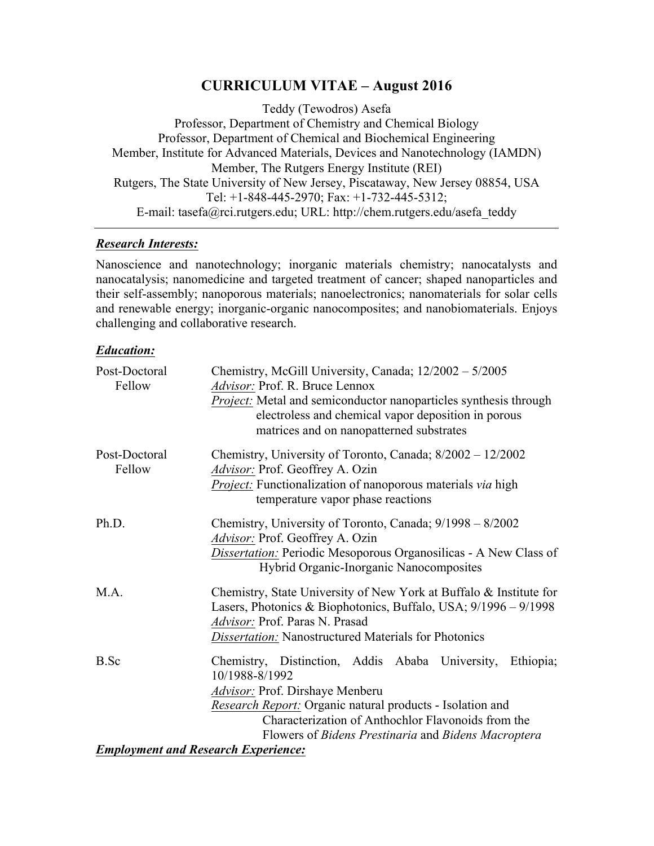## **CURRICULUM VITAE – August 2016**

Teddy (Tewodros) Asefa Professor, Department of Chemistry and Chemical Biology Professor, Department of Chemical and Biochemical Engineering Member, Institute for Advanced Materials, Devices and Nanotechnology (IAMDN) Member, The Rutgers Energy Institute (REI) Rutgers, The State University of New Jersey, Piscataway, New Jersey 08854, USA Tel: +1-848-445-2970; Fax: +1-732-445-5312; E-mail: tasefa@rci.rutgers.edu; URL: http://chem.rutgers.edu/asefa\_teddy

## *Research Interests:*

Nanoscience and nanotechnology; inorganic materials chemistry; nanocatalysts and nanocatalysis; nanomedicine and targeted treatment of cancer; shaped nanoparticles and their self-assembly; nanoporous materials; nanoelectronics; nanomaterials for solar cells and renewable energy; inorganic-organic nanocomposites; and nanobiomaterials. Enjoys challenging and collaborative research.

## *Education:*

| Post-Doctoral<br>Fellow                    | Chemistry, McGill University, Canada; 12/2002 - 5/2005<br>Advisor: Prof. R. Bruce Lennox<br>Project: Metal and semiconductor nanoparticles synthesis through<br>electroless and chemical vapor deposition in porous<br>matrices and on nanopatterned substrates                          |
|--------------------------------------------|------------------------------------------------------------------------------------------------------------------------------------------------------------------------------------------------------------------------------------------------------------------------------------------|
| Post-Doctoral<br>Fellow                    | Chemistry, University of Toronto, Canada; 8/2002 - 12/2002<br>Advisor: Prof. Geoffrey A. Ozin<br>Project: Functionalization of nanoporous materials via high<br>temperature vapor phase reactions                                                                                        |
| Ph.D.                                      | Chemistry, University of Toronto, Canada; 9/1998 – 8/2002<br>Advisor: Prof. Geoffrey A. Ozin<br>Dissertation: Periodic Mesoporous Organosilicas - A New Class of<br>Hybrid Organic-Inorganic Nanocomposites                                                                              |
| M.A.                                       | Chemistry, State University of New York at Buffalo & Institute for<br>Lasers, Photonics & Biophotonics, Buffalo, USA; 9/1996 – 9/1998<br>Advisor: Prof. Paras N. Prasad<br>Dissertation: Nanostructured Materials for Photonics                                                          |
| B.Sc                                       | Chemistry, Distinction, Addis Ababa University, Ethiopia;<br>10/1988-8/1992<br>Advisor: Prof. Dirshaye Menberu<br>Research Report: Organic natural products - Isolation and<br>Characterization of Anthochlor Flavonoids from the<br>Flowers of Bidens Prestinaria and Bidens Macroptera |
| <b>Employment and Research Experience:</b> |                                                                                                                                                                                                                                                                                          |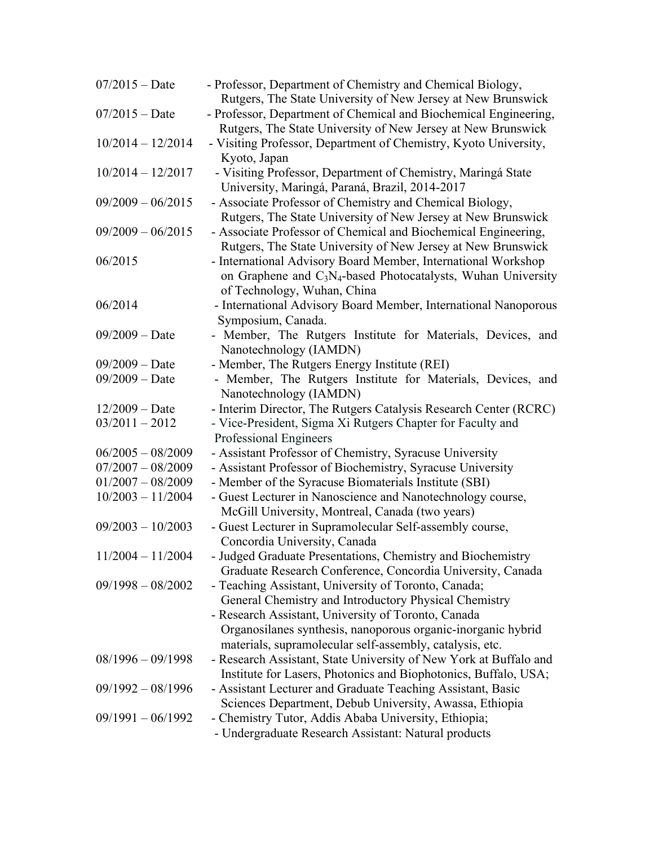| $07/2015 - Date$    | - Professor, Department of Chemistry and Chemical Biology,<br>Rutgers, The State University of New Jersey at New Brunswick |
|---------------------|----------------------------------------------------------------------------------------------------------------------------|
| $07/2015 - Date$    | - Professor, Department of Chemical and Biochemical Engineering,                                                           |
|                     | Rutgers, The State University of New Jersey at New Brunswick                                                               |
| $10/2014 - 12/2014$ | - Visiting Professor, Department of Chemistry, Kyoto University,                                                           |
|                     | Kyoto, Japan                                                                                                               |
| $10/2014 - 12/2017$ | - Visiting Professor, Department of Chemistry, Maringá State                                                               |
|                     | University, Maringá, Paraná, Brazil, 2014-2017                                                                             |
| $09/2009 - 06/2015$ | - Associate Professor of Chemistry and Chemical Biology,                                                                   |
|                     | Rutgers, The State University of New Jersey at New Brunswick                                                               |
| $09/2009 - 06/2015$ | - Associate Professor of Chemical and Biochemical Engineering,                                                             |
|                     | Rutgers, The State University of New Jersey at New Brunswick                                                               |
| 06/2015             | - International Advisory Board Member, International Workshop                                                              |
|                     | on Graphene and $C_3N_4$ -based Photocatalysts, Wuhan University                                                           |
|                     | of Technology, Wuhan, China                                                                                                |
| 06/2014             | - International Advisory Board Member, International Nanoporous                                                            |
|                     | Symposium, Canada.                                                                                                         |
| $09/2009 - Date$    | - Member, The Rutgers Institute for Materials, Devices, and                                                                |
|                     | Nanotechnology (IAMDN)                                                                                                     |
| $09/2009 - Date$    | - Member, The Rutgers Energy Institute (REI)                                                                               |
| $09/2009 - Date$    | - Member, The Rutgers Institute for Materials, Devices, and                                                                |
|                     | Nanotechnology (IAMDN)                                                                                                     |
| $12/2009 - Date$    | - Interim Director, The Rutgers Catalysis Research Center (RCRC)                                                           |
| $03/2011 - 2012$    | - Vice-President, Sigma Xi Rutgers Chapter for Faculty and                                                                 |
|                     | Professional Engineers                                                                                                     |
| $06/2005 - 08/2009$ | - Assistant Professor of Chemistry, Syracuse University                                                                    |
| $07/2007 - 08/2009$ | - Assistant Professor of Biochemistry, Syracuse University                                                                 |
| $01/2007 - 08/2009$ | - Member of the Syracuse Biomaterials Institute (SBI)                                                                      |
| $10/2003 - 11/2004$ | - Guest Lecturer in Nanoscience and Nanotechnology course,                                                                 |
|                     | McGill University, Montreal, Canada (two years)                                                                            |
| $09/2003 - 10/2003$ | - Guest Lecturer in Supramolecular Self-assembly course,                                                                   |
|                     | Concordia University, Canada                                                                                               |
| $11/2004 - 11/2004$ | - Judged Graduate Presentations, Chemistry and Biochemistry<br>Graduate Research Conference, Concordia University, Canada  |
| $09/1998 - 08/2002$ | - Teaching Assistant, University of Toronto, Canada;                                                                       |
|                     | General Chemistry and Introductory Physical Chemistry                                                                      |
|                     | - Research Assistant, University of Toronto, Canada                                                                        |
|                     | Organosilanes synthesis, nanoporous organic-inorganic hybrid                                                               |
|                     | materials, supramolecular self-assembly, catalysis, etc.                                                                   |
| $08/1996 - 09/1998$ | - Research Assistant, State University of New York at Buffalo and                                                          |
|                     | Institute for Lasers, Photonics and Biophotonics, Buffalo, USA;                                                            |
| $09/1992 - 08/1996$ | - Assistant Lecturer and Graduate Teaching Assistant, Basic                                                                |
|                     | Sciences Department, Debub University, Awassa, Ethiopia                                                                    |
| $09/1991 - 06/1992$ | - Chemistry Tutor, Addis Ababa University, Ethiopia;                                                                       |
|                     | - Undergraduate Research Assistant: Natural products                                                                       |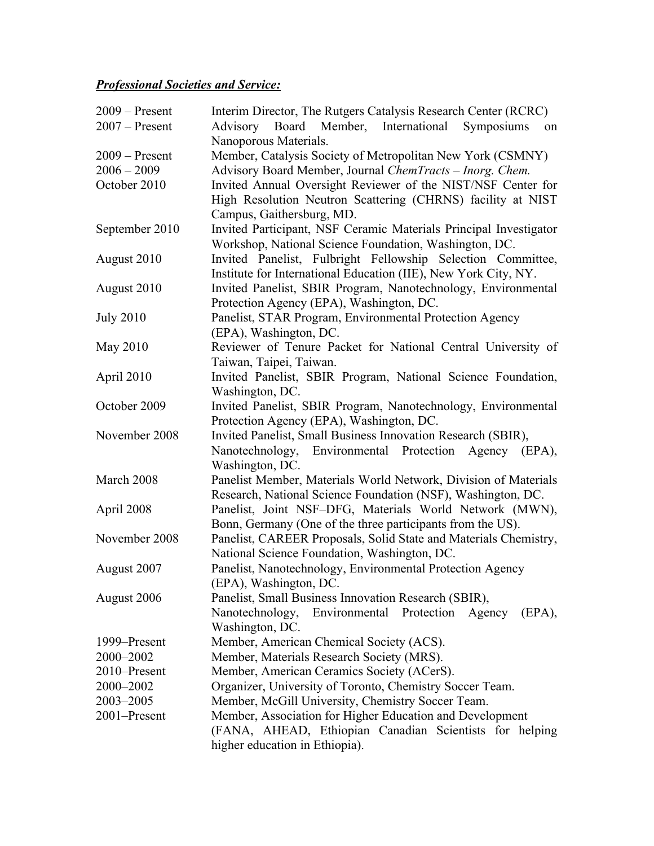## *Professional Societies and Service:*

| $2009 -$ Present | Interim Director, The Rutgers Catalysis Research Center (RCRC)     |
|------------------|--------------------------------------------------------------------|
| $2007 -$ Present | Advisory Board Member,<br>International<br>Symposiums<br>on        |
|                  | Nanoporous Materials.                                              |
| $2009 -$ Present | Member, Catalysis Society of Metropolitan New York (CSMNY)         |
| $2006 - 2009$    | Advisory Board Member, Journal ChemTracts – Inorg. Chem.           |
| October 2010     | Invited Annual Oversight Reviewer of the NIST/NSF Center for       |
|                  | High Resolution Neutron Scattering (CHRNS) facility at NIST        |
|                  | Campus, Gaithersburg, MD.                                          |
| September 2010   | Invited Participant, NSF Ceramic Materials Principal Investigator  |
|                  | Workshop, National Science Foundation, Washington, DC.             |
| August 2010      | Invited Panelist, Fulbright Fellowship Selection Committee,        |
|                  | Institute for International Education (IIE), New York City, NY.    |
| August 2010      | Invited Panelist, SBIR Program, Nanotechnology, Environmental      |
|                  | Protection Agency (EPA), Washington, DC.                           |
|                  | Panelist, STAR Program, Environmental Protection Agency            |
| <b>July 2010</b> | (EPA), Washington, DC.                                             |
| May 2010         | Reviewer of Tenure Packet for National Central University of       |
|                  |                                                                    |
|                  | Taiwan, Taipei, Taiwan.                                            |
| April 2010       | Invited Panelist, SBIR Program, National Science Foundation,       |
|                  | Washington, DC.                                                    |
| October 2009     | Invited Panelist, SBIR Program, Nanotechnology, Environmental      |
|                  | Protection Agency (EPA), Washington, DC.                           |
| November 2008    | Invited Panelist, Small Business Innovation Research (SBIR),       |
|                  | Environmental Protection<br>Nanotechnology,<br>Agency (EPA),       |
|                  | Washington, DC.                                                    |
| March 2008       | Panelist Member, Materials World Network, Division of Materials    |
|                  | Research, National Science Foundation (NSF), Washington, DC.       |
| April 2008       | Panelist, Joint NSF-DFG, Materials World Network (MWN),            |
|                  | Bonn, Germany (One of the three participants from the US).         |
| November 2008    | Panelist, CAREER Proposals, Solid State and Materials Chemistry,   |
|                  | National Science Foundation, Washington, DC.                       |
| August 2007      | Panelist, Nanotechnology, Environmental Protection Agency          |
|                  | (EPA), Washington, DC.                                             |
| August 2006      | Panelist, Small Business Innovation Research (SBIR),               |
|                  | Nanotechnology,<br>Environmental<br>Protection<br>Agency<br>(EPA), |
|                  | Washington, DC.                                                    |
| 1999–Present     | Member, American Chemical Society (ACS).                           |
| 2000-2002        | Member, Materials Research Society (MRS).                          |
| 2010–Present     | Member, American Ceramics Society (ACerS).                         |
| 2000-2002        | Organizer, University of Toronto, Chemistry Soccer Team.           |
| 2003-2005        | Member, McGill University, Chemistry Soccer Team.                  |
| 2001-Present     | Member, Association for Higher Education and Development           |
|                  | (FANA, AHEAD, Ethiopian Canadian Scientists for helping            |
|                  | higher education in Ethiopia).                                     |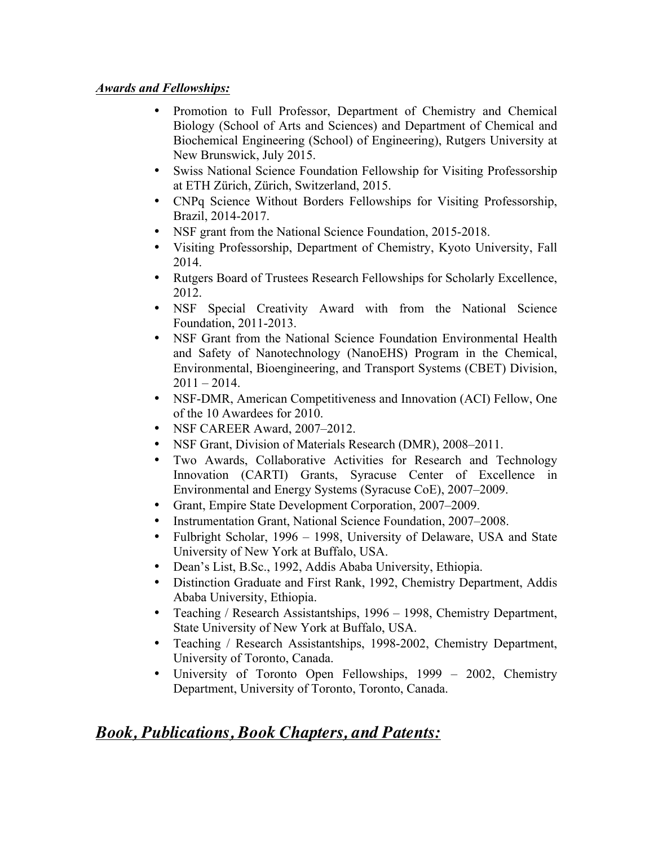## *Awards and Fellowships:*

- Promotion to Full Professor, Department of Chemistry and Chemical Biology (School of Arts and Sciences) and Department of Chemical and Biochemical Engineering (School) of Engineering), Rutgers University at New Brunswick, July 2015.
- Swiss National Science Foundation Fellowship for Visiting Professorship at ETH Zürich, Zürich, Switzerland, 2015.
- CNPq Science Without Borders Fellowships for Visiting Professorship, Brazil, 2014-2017.
- NSF grant from the National Science Foundation, 2015-2018.
- Visiting Professorship, Department of Chemistry, Kyoto University, Fall 2014.
- Rutgers Board of Trustees Research Fellowships for Scholarly Excellence, 2012.
- NSF Special Creativity Award with from the National Science Foundation, 2011-2013.
- NSF Grant from the National Science Foundation Environmental Health and Safety of Nanotechnology (NanoEHS) Program in the Chemical, Environmental, Bioengineering, and Transport Systems (CBET) Division,  $2011 - 2014$ .
- NSF-DMR, American Competitiveness and Innovation (ACI) Fellow, One of the 10 Awardees for 2010.
- NSF CAREER Award, 2007–2012.
- NSF Grant, Division of Materials Research (DMR), 2008–2011.
- Two Awards, Collaborative Activities for Research and Technology Innovation (CARTI) Grants, Syracuse Center of Excellence in Environmental and Energy Systems (Syracuse CoE), 2007–2009.
- Grant, Empire State Development Corporation, 2007–2009.
- Instrumentation Grant, National Science Foundation, 2007–2008.
- Fulbright Scholar, 1996 1998, University of Delaware, USA and State University of New York at Buffalo, USA.
- Dean's List, B.Sc., 1992, Addis Ababa University, Ethiopia.
- Distinction Graduate and First Rank, 1992, Chemistry Department, Addis Ababa University, Ethiopia.
- Teaching / Research Assistantships, 1996 1998, Chemistry Department, State University of New York at Buffalo, USA.
- Teaching / Research Assistantships, 1998-2002, Chemistry Department, University of Toronto, Canada.
- University of Toronto Open Fellowships, 1999 2002, Chemistry Department, University of Toronto, Toronto, Canada.

# *Book, Publications, Book Chapters, and Patents:*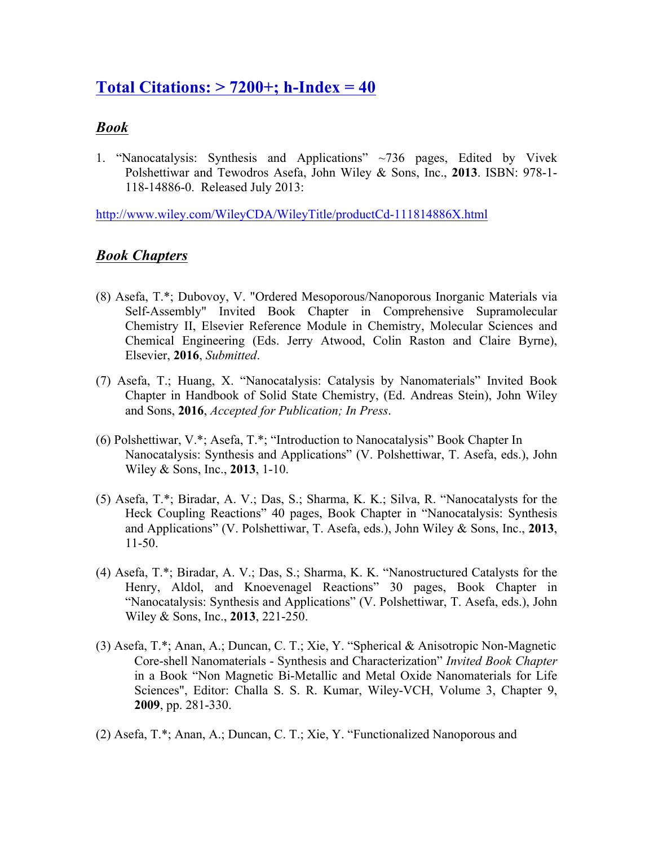# **Total Citations: > 7200+; h-Index = 40**

## *Book*

1. "Nanocatalysis: Synthesis and Applications" ~736 pages, Edited by Vivek Polshettiwar and Tewodros Asefa, John Wiley & Sons, Inc., **2013**. ISBN: 978-1- 118-14886-0. Released July 2013:

http://www.wiley.com/WileyCDA/WileyTitle/productCd-111814886X.html

## *Book Chapters*

- (8) Asefa, T.\*; Dubovoy, V. "Ordered Mesoporous/Nanoporous Inorganic Materials via Self-Assembly" Invited Book Chapter in Comprehensive Supramolecular Chemistry II, Elsevier Reference Module in Chemistry, Molecular Sciences and Chemical Engineering (Eds. Jerry Atwood, Colin Raston and Claire Byrne), Elsevier, **2016**, *Submitted*.
- (7) Asefa, T.; Huang, X. "Nanocatalysis: Catalysis by Nanomaterials" Invited Book Chapter in Handbook of Solid State Chemistry, (Ed. Andreas Stein), John Wiley and Sons, **2016**, *Accepted for Publication; In Press*.
- (6) Polshettiwar, V.\*; Asefa, T.\*; "Introduction to Nanocatalysis" Book Chapter In Nanocatalysis: Synthesis and Applications" (V. Polshettiwar, T. Asefa, eds.), John Wiley & Sons, Inc., **2013**, 1-10.
- (5) Asefa, T.\*; Biradar, A. V.; Das, S.; Sharma, K. K.; Silva, R. "Nanocatalysts for the Heck Coupling Reactions" 40 pages, Book Chapter in "Nanocatalysis: Synthesis and Applications" (V. Polshettiwar, T. Asefa, eds.), John Wiley & Sons, Inc., **2013**, 11-50.
- (4) Asefa, T.\*; Biradar, A. V.; Das, S.; Sharma, K. K. "Nanostructured Catalysts for the Henry, Aldol, and Knoevenagel Reactions" 30 pages, Book Chapter in "Nanocatalysis: Synthesis and Applications" (V. Polshettiwar, T. Asefa, eds.), John Wiley & Sons, Inc., **2013**, 221-250.
- (3) Asefa, T.\*; Anan, A.; Duncan, C. T.; Xie, Y. "Spherical & Anisotropic Non-Magnetic Core-shell Nanomaterials - Synthesis and Characterization" *Invited Book Chapter*  in a Book "Non Magnetic Bi-Metallic and Metal Oxide Nanomaterials for Life Sciences", Editor: Challa S. S. R. Kumar, Wiley-VCH, Volume 3, Chapter 9, **2009**, pp. 281-330.
- (2) Asefa, T.\*; Anan, A.; Duncan, C. T.; Xie, Y. "Functionalized Nanoporous and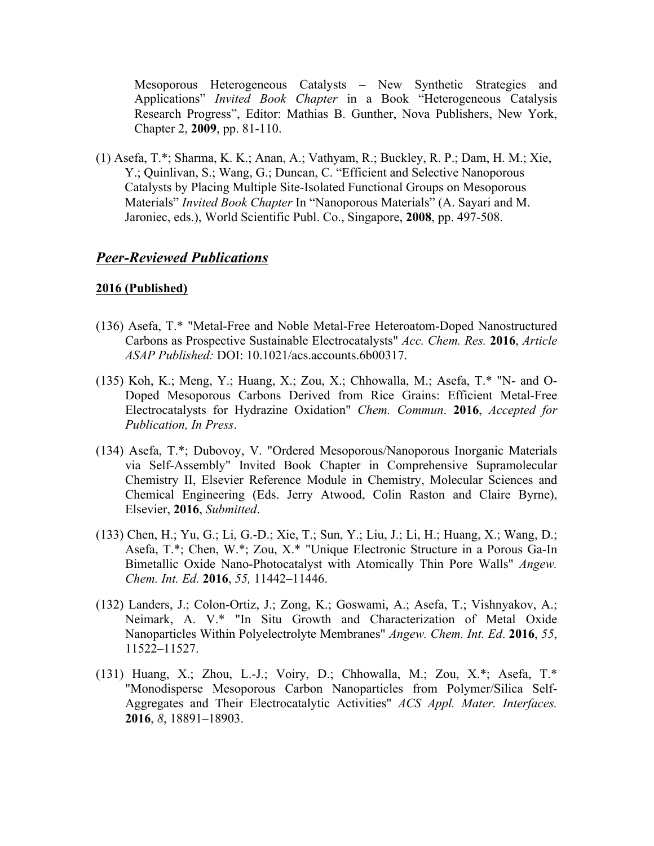Mesoporous Heterogeneous Catalysts – New Synthetic Strategies and Applications" *Invited Book Chapter* in a Book "Heterogeneous Catalysis Research Progress", Editor: Mathias B. Gunther, Nova Publishers, New York, Chapter 2, **2009**, pp. 81-110.

(1) Asefa, T.\*; Sharma, K. K.; Anan, A.; Vathyam, R.; Buckley, R. P.; Dam, H. M.; Xie, Y.; Quinlivan, S.; Wang, G.; Duncan, C. "Efficient and Selective Nanoporous Catalysts by Placing Multiple Site-Isolated Functional Groups on Mesoporous Materials" *Invited Book Chapter* In "Nanoporous Materials" (A. Sayari and M. Jaroniec, eds.), World Scientific Publ. Co., Singapore, **2008**, pp. 497-508.

## *Peer-Reviewed Publications*

#### **2016 (Published)**

- (136) Asefa, T.\* "Metal-Free and Noble Metal-Free Heteroatom-Doped Nanostructured Carbons as Prospective Sustainable Electrocatalysts" *Acc. Chem. Res.* **2016**, *Article ASAP Published:* DOI: 10.1021/acs.accounts.6b00317.
- (135) Koh, K.; Meng, Y.; Huang, X.; Zou, X.; Chhowalla, M.; Asefa, T.\* "N- and O-Doped Mesoporous Carbons Derived from Rice Grains: Efficient Metal-Free Electrocatalysts for Hydrazine Oxidation" *Chem. Commun*. **2016**, *Accepted for Publication, In Press*.
- (134) Asefa, T.\*; Dubovoy, V. "Ordered Mesoporous/Nanoporous Inorganic Materials via Self-Assembly" Invited Book Chapter in Comprehensive Supramolecular Chemistry II, Elsevier Reference Module in Chemistry, Molecular Sciences and Chemical Engineering (Eds. Jerry Atwood, Colin Raston and Claire Byrne), Elsevier, **2016**, *Submitted*.
- (133) Chen, H.; Yu, G.; Li, G.-D.; Xie, T.; Sun, Y.; Liu, J.; Li, H.; Huang, X.; Wang, D.; Asefa, T.\*; Chen, W.\*; Zou, X.\* "Unique Electronic Structure in a Porous Ga-In Bimetallic Oxide Nano-Photocatalyst with Atomically Thin Pore Walls" *Angew. Chem. Int. Ed.* **2016**, *55,* 11442–11446.
- (132) Landers, J.; Colon-Ortiz, J.; Zong, K.; Goswami, A.; Asefa, T.; Vishnyakov, A.; Neimark, A. V.\* "In Situ Growth and Characterization of Metal Oxide Nanoparticles Within Polyelectrolyte Membranes" *Angew. Chem. Int. Ed*. **2016**, *55*, 11522–11527.
- (131) Huang, X.; Zhou, L.-J.; Voiry, D.; Chhowalla, M.; Zou, X.\*; Asefa, T.\* "Monodisperse Mesoporous Carbon Nanoparticles from Polymer/Silica Self-Aggregates and Their Electrocatalytic Activities" *ACS Appl. Mater. Interfaces.* **2016**, *8*, 18891–18903.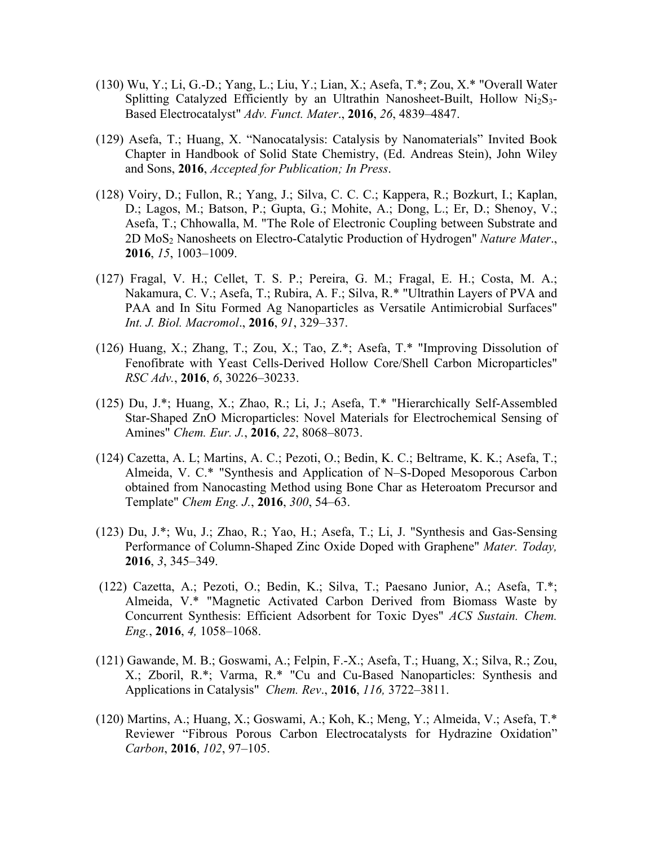- (130) Wu, Y.; Li, G.-D.; Yang, L.; Liu, Y.; Lian, X.; Asefa, T.\*; Zou, X.\* "Overall Water Splitting Catalyzed Efficiently by an Ultrathin Nanosheet-Built, Hollow  $Ni<sub>2</sub>S<sub>3</sub>$ -Based Electrocatalyst" *Adv. Funct. Mater*., **2016**, *26*, 4839–4847.
- (129) Asefa, T.; Huang, X. "Nanocatalysis: Catalysis by Nanomaterials" Invited Book Chapter in Handbook of Solid State Chemistry, (Ed. Andreas Stein), John Wiley and Sons, **2016**, *Accepted for Publication; In Press*.
- (128) Voiry, D.; Fullon, R.; Yang, J.; Silva, C. C. C.; Kappera, R.; Bozkurt, I.; Kaplan, D.; Lagos, M.; Batson, P.; Gupta, G.; Mohite, A.; Dong, L.; Er, D.; Shenoy, V.; Asefa, T.; Chhowalla, M. "The Role of Electronic Coupling between Substrate and 2D MoS2 Nanosheets on Electro-Catalytic Production of Hydrogen" *Nature Mater*., **2016**, *15*, 1003–1009.
- (127) Fragal, V. H.; Cellet, T. S. P.; Pereira, G. M.; Fragal, E. H.; Costa, M. A.; Nakamura, C. V.; Asefa, T.; Rubira, A. F.; Silva, R.\* "Ultrathin Layers of PVA and PAA and In Situ Formed Ag Nanoparticles as Versatile Antimicrobial Surfaces" *Int. J. Biol. Macromol*., **2016**, *91*, 329–337.
- (126) Huang, X.; Zhang, T.; Zou, X.; Tao, Z.\*; Asefa, T.\* "Improving Dissolution of Fenofibrate with Yeast Cells-Derived Hollow Core/Shell Carbon Microparticles" *RSC Adv.*, **2016**, *6*, 30226–30233.
- (125) Du, J.\*; Huang, X.; Zhao, R.; Li, J.; Asefa, T.\* "Hierarchically Self-Assembled Star-Shaped ZnO Microparticles: Novel Materials for Electrochemical Sensing of Amines" *Chem. Eur. J.*, **2016**, *22*, 8068–8073.
- (124) Cazetta, A. L; Martins, A. C.; Pezoti, O.; Bedin, K. C.; Beltrame, K. K.; Asefa, T.; Almeida, V. C.\* "Synthesis and Application of N–S-Doped Mesoporous Carbon obtained from Nanocasting Method using Bone Char as Heteroatom Precursor and Template" *Chem Eng. J.*, **2016**, *300*, 54–63.
- (123) Du, J.\*; Wu, J.; Zhao, R.; Yao, H.; Asefa, T.; Li, J. "Synthesis and Gas-Sensing Performance of Column-Shaped Zinc Oxide Doped with Graphene" *Mater. Today,* **2016**, *3*, 345–349.
- (122) Cazetta, A.; Pezoti, O.; Bedin, K.; Silva, T.; Paesano Junior, A.; Asefa, T.\*; Almeida, V.\* "Magnetic Activated Carbon Derived from Biomass Waste by Concurrent Synthesis: Efficient Adsorbent for Toxic Dyes" *ACS Sustain. Chem. Eng.*, **2016**, *4,* 1058–1068.
- (121) Gawande, M. B.; Goswami, A.; Felpin, F.-X.; Asefa, T.; Huang, X.; Silva, R.; Zou, X.; Zboril, R.\*; Varma, R.\* "Cu and Cu-Based Nanoparticles: Synthesis and Applications in Catalysis" *Chem. Rev*., **2016**, *116,* 3722–3811.
- (120) Martins, A.; Huang, X.; Goswami, A.; Koh, K.; Meng, Y.; Almeida, V.; Asefa, T.\* Reviewer "Fibrous Porous Carbon Electrocatalysts for Hydrazine Oxidation" *Carbon*, **2016**, *102*, 97–105.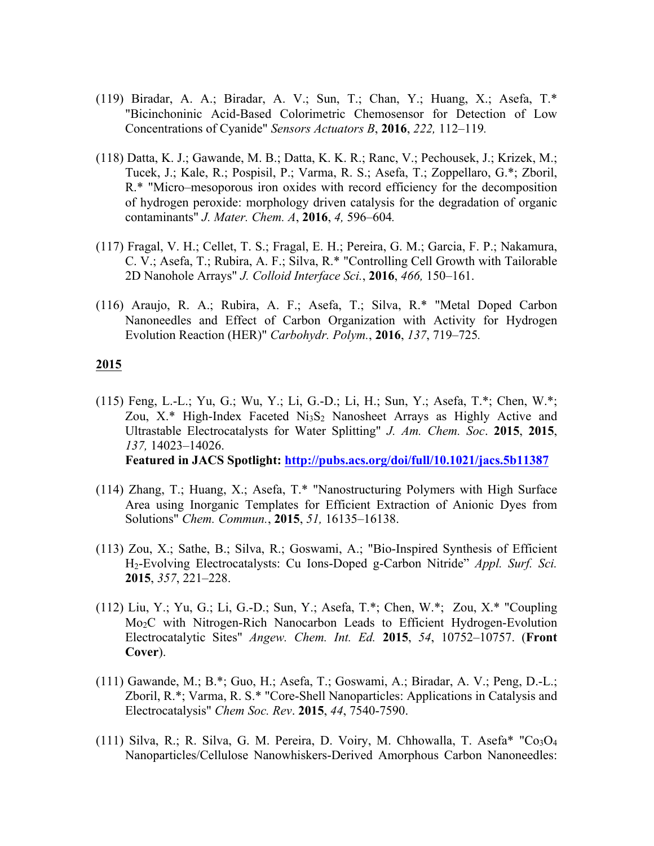- (119) Biradar, A. A.; Biradar, A. V.; Sun, T.; Chan, Y.; Huang, X.; Asefa, T.\* "Bicinchoninic Acid-Based Colorimetric Chemosensor for Detection of Low Concentrations of Cyanide" *Sensors Actuators B*, **2016**, *222,* 112–119*.*
- (118) Datta, K. J.; Gawande, M. B.; Datta, K. K. R.; Ranc, V.; Pechousek, J.; Krizek, M.; Tucek, J.; Kale, R.; Pospisil, P.; Varma, R. S.; Asefa, T.; Zoppellaro, G.\*; Zboril, R.\* "Micro–mesoporous iron oxides with record efficiency for the decomposition of hydrogen peroxide: morphology driven catalysis for the degradation of organic contaminants" *J. Mater. Chem. A*, **2016**, *4,* 596–604*.*
- (117) Fragal, V. H.; Cellet, T. S.; Fragal, E. H.; Pereira, G. M.; Garcia, F. P.; Nakamura, C. V.; Asefa, T.; Rubira, A. F.; Silva, R.\* "Controlling Cell Growth with Tailorable 2D Nanohole Arrays" *J. Colloid Interface Sci.*, **2016**, *466,* 150–161.
- (116) Araujo, R. A.; Rubira, A. F.; Asefa, T.; Silva, R.\* "Metal Doped Carbon Nanoneedles and Effect of Carbon Organization with Activity for Hydrogen Evolution Reaction (HER)" *Carbohydr. Polym.*, **2016**, *137*, 719–725*.*

- (115) Feng, L.-L.; Yu, G.; Wu, Y.; Li, G.-D.; Li, H.; Sun, Y.; Asefa, T.\*; Chen, W.\*; Zou,  $X^*$  High-Index Faceted  $Ni<sub>3</sub>S<sub>2</sub>$  Nanosheet Arrays as Highly Active and Ultrastable Electrocatalysts for Water Splitting" *J. Am. Chem. Soc*. **2015**, **2015**, *137,* 14023–14026. **Featured in JACS Spotlight: http://pubs.acs.org/doi/full/10.1021/jacs.5b11387**
- (114) Zhang, T.; Huang, X.; Asefa, T.\* "Nanostructuring Polymers with High Surface Area using Inorganic Templates for Efficient Extraction of Anionic Dyes from Solutions" *Chem. Commun.*, **2015**, *51,* 16135–16138.
- (113) Zou, X.; Sathe, B.; Silva, R.; Goswami, A.; "Bio-Inspired Synthesis of Efficient H2-Evolving Electrocatalysts: Cu Ions-Doped g-Carbon Nitride" *Appl. Surf. Sci.* **2015**, *357*, 221–228.
- (112) Liu, Y.; Yu, G.; Li, G.-D.; Sun, Y.; Asefa, T.\*; Chen, W.\*; Zou, X.\* "Coupling Mo2C with Nitrogen-Rich Nanocarbon Leads to Efficient Hydrogen-Evolution Electrocatalytic Sites" *Angew. Chem. Int. Ed.* **2015**, *54*, 10752–10757. (**Front Cover**).
- (111) Gawande, M.; B.\*; Guo, H.; Asefa, T.; Goswami, A.; Biradar, A. V.; Peng, D.-L.; Zboril, R.\*; Varma, R. S.\* "Core-Shell Nanoparticles: Applications in Catalysis and Electrocatalysis" *Chem Soc. Rev*. **2015**, *44*, 7540-7590.
- (111) Silva, R.; R. Silva, G. M. Pereira, D. Voiry, M. Chhowalla, T. Asefa\* " $Co<sub>3</sub>O<sub>4</sub>$ Nanoparticles/Cellulose Nanowhiskers-Derived Amorphous Carbon Nanoneedles: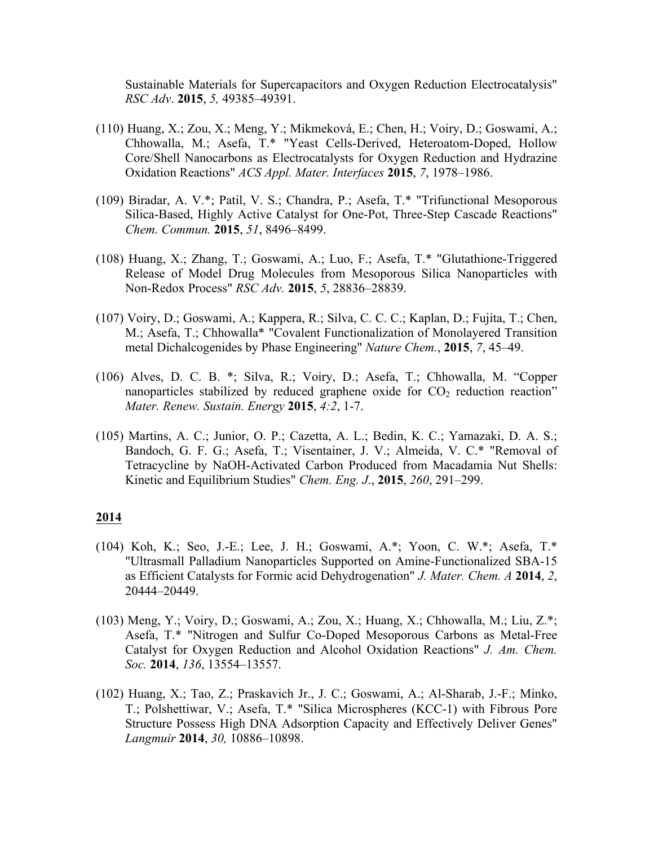Sustainable Materials for Supercapacitors and Oxygen Reduction Electrocatalysis" *RSC Adv*. **2015**, *5,* 49385–49391.

- (110) Huang, X.; Zou, X.; Meng, Y.; Mikmeková, E.; Chen, H.; Voiry, D.; Goswami, A.; Chhowalla, M.; Asefa, T.\* "Yeast Cells-Derived, Heteroatom-Doped, Hollow Core/Shell Nanocarbons as Electrocatalysts for Oxygen Reduction and Hydrazine Oxidation Reactions" *ACS Appl. Mater. Interfaces* **2015**, *7*, 1978–1986.
- (109) Biradar, A. V.\*; Patil, V. S.; Chandra, P.; Asefa, T.\* "Trifunctional Mesoporous Silica-Based, Highly Active Catalyst for One-Pot, Three-Step Cascade Reactions" *Chem. Commun.* **2015**, *51*, 8496–8499.
- (108) Huang, X.; Zhang, T.; Goswami, A.; Luo, F.; Asefa, T.\* "Glutathione-Triggered Release of Model Drug Molecules from Mesoporous Silica Nanoparticles with Non-Redox Process" *RSC Adv.* **2015**, *5*, 28836–28839.
- (107) Voiry, D.; Goswami, A.; Kappera, R.; Silva, C. C. C.; Kaplan, D.; Fujita, T.; Chen, M.; Asefa, T.; Chhowalla\* "Covalent Functionalization of Monolayered Transition metal Dichalcogenides by Phase Engineering" *Nature Chem.*, **2015**, *7*, 45–49.
- (106) Alves, D. C. B. \*; Silva, R.; Voiry, D.; Asefa, T.; Chhowalla, M. "Copper nanoparticles stabilized by reduced graphene oxide for  $CO<sub>2</sub>$  reduction reaction" *Mater. Renew. Sustain. Energy* **2015**, *4:2*, 1-7.
- (105) Martins, A. C.; Junior, O. P.; Cazetta, A. L.; Bedin, K. C.; Yamazaki, D. A. S.; Bandoch, G. F. G.; Asefa, T.; Visentainer, J. V.; Almeida, V. C.\* "Removal of Tetracycline by NaOH-Activated Carbon Produced from Macadamia Nut Shells: Kinetic and Equilibrium Studies" *Chem. Eng. J*., **2015**, *260*, 291–299.

- (104) Koh, K.; Seo, J.-E.; Lee, J. H.; Goswami, A.\*; Yoon, C. W.\*; Asefa, T.\* "Ultrasmall Palladium Nanoparticles Supported on Amine-Functionalized SBA-15 as Efficient Catalysts for Formic acid Dehydrogenation" *J. Mater. Chem. A* **2014**, *2*, 20444–20449.
- (103) Meng, Y.; Voiry, D.; Goswami, A.; Zou, X.; Huang, X.; Chhowalla, M.; Liu, Z.\*; Asefa, T.\* "Nitrogen and Sulfur Co-Doped Mesoporous Carbons as Metal-Free Catalyst for Oxygen Reduction and Alcohol Oxidation Reactions" *J. Am. Chem. Soc.* **2014**, *136*, 13554–13557.
- (102) Huang, X.; Tao, Z.; Praskavich Jr., J. C.; Goswami, A.; Al-Sharab, J.-F.; Minko, T.; Polshettiwar, V.; Asefa, T.\* "Silica Microspheres (KCC-1) with Fibrous Pore Structure Possess High DNA Adsorption Capacity and Effectively Deliver Genes" *Langmuir* **2014**, *30,* 10886–10898.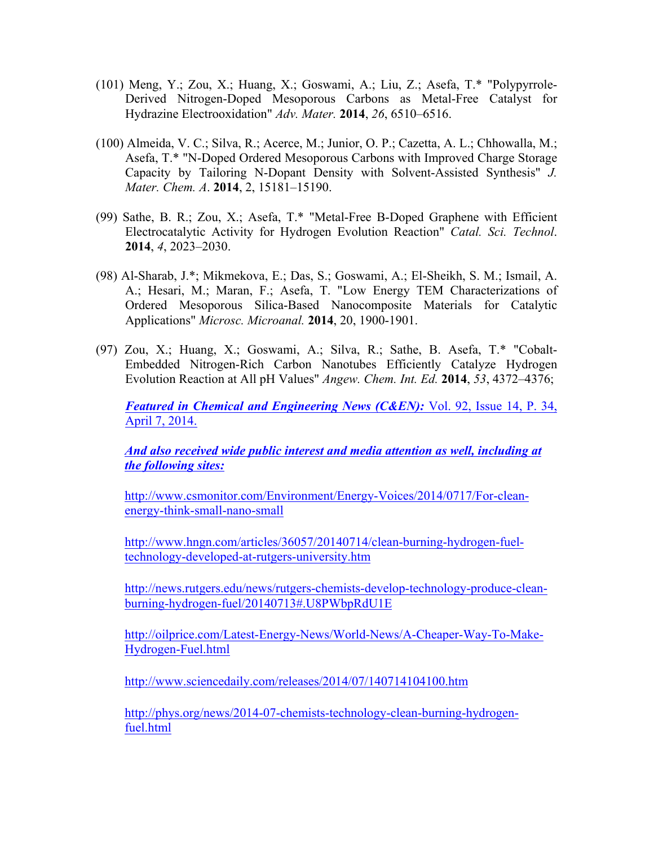- (101) Meng, Y.; Zou, X.; Huang, X.; Goswami, A.; Liu, Z.; Asefa, T.\* "Polypyrrole-Derived Nitrogen-Doped Mesoporous Carbons as Metal-Free Catalyst for Hydrazine Electrooxidation" *Adv. Mater.* **2014**, *26*, 6510–6516.
- (100) Almeida, V. C.; Silva, R.; Acerce, M.; Junior, O. P.; Cazetta, A. L.; Chhowalla, M.; Asefa, T.\* "N-Doped Ordered Mesoporous Carbons with Improved Charge Storage Capacity by Tailoring N-Dopant Density with Solvent-Assisted Synthesis" *J. Mater. Chem. A*. **2014**, 2, 15181–15190.
- (99) Sathe, B. R.; Zou, X.; Asefa, T.\* "Metal-Free B-Doped Graphene with Efficient Electrocatalytic Activity for Hydrogen Evolution Reaction" *Catal. Sci. Technol*. **2014**, *4*, 2023–2030.
- (98) Al-Sharab, J.\*; Mikmekova, E.; Das, S.; Goswami, A.; El-Sheikh, S. M.; Ismail, A. A.; Hesari, M.; Maran, F.; Asefa, T. "Low Energy TEM Characterizations of Ordered Mesoporous Silica-Based Nanocomposite Materials for Catalytic Applications" *Microsc. Microanal.* **2014**, 20, 1900-1901.
- (97) Zou, X.; Huang, X.; Goswami, A.; Silva, R.; Sathe, B. Asefa, T.\* "Cobalt-Embedded Nitrogen-Rich Carbon Nanotubes Efficiently Catalyze Hydrogen Evolution Reaction at All pH Values" *Angew. Chem. Int. Ed.* **2014**, *53*, 4372–4376;

*Featured in Chemical and Engineering News (C&EN):* Vol. 92, Issue 14, P. 34, April 7, 2014.

*And also received wide public interest and media attention as well, including at the following sites:*

http://www.csmonitor.com/Environment/Energy-Voices/2014/0717/For-cleanenergy-think-small-nano-small

http://www.hngn.com/articles/36057/20140714/clean-burning-hydrogen-fueltechnology-developed-at-rutgers-university.htm

http://news.rutgers.edu/news/rutgers-chemists-develop-technology-produce-cleanburning-hydrogen-fuel/20140713#.U8PWbpRdU1E

http://oilprice.com/Latest-Energy-News/World-News/A-Cheaper-Way-To-Make-Hydrogen-Fuel.html

http://www.sciencedaily.com/releases/2014/07/140714104100.htm

http://phys.org/news/2014-07-chemists-technology-clean-burning-hydrogenfuel.html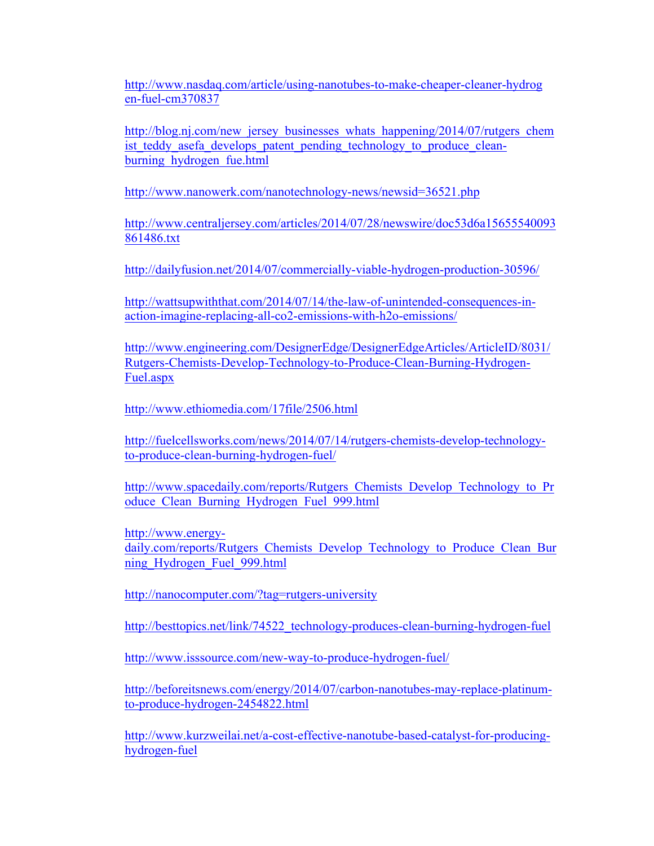http://www.nasdaq.com/article/using-nanotubes-to-make-cheaper-cleaner-hydrog en-fuel-cm370837

http://blog.nj.com/new\_jersey\_businesses\_whats\_happening/2014/07/rutgers\_chem ist teddy asefa develops patent pending technology to produce cleanburning hydrogen fue.html

http://www.nanowerk.com/nanotechnology-news/newsid=36521.php

http://www.centraljersey.com/articles/2014/07/28/newswire/doc53d6a15655540093 861486.txt

http://dailyfusion.net/2014/07/commercially-viable-hydrogen-production-30596/

http://wattsupwiththat.com/2014/07/14/the-law-of-unintended-consequences-inaction-imagine-replacing-all-co2-emissions-with-h2o-emissions/

http://www.engineering.com/DesignerEdge/DesignerEdgeArticles/ArticleID/8031/ Rutgers-Chemists-Develop-Technology-to-Produce-Clean-Burning-Hydrogen-Fuel.aspx

http://www.ethiomedia.com/17file/2506.html

http://fuelcellsworks.com/news/2014/07/14/rutgers-chemists-develop-technologyto-produce-clean-burning-hydrogen-fuel/

http://www.spacedaily.com/reports/Rutgers\_Chemists\_Develop\_Technology\_to\_Pr oduce\_Clean\_Burning\_Hydrogen\_Fuel\_999.html

http://www.energydaily.com/reports/Rutgers\_Chemists\_Develop\_Technology\_to\_Produce\_Clean\_Bur ning\_Hydrogen\_Fuel\_999.html

http://nanocomputer.com/?tag=rutgers-university

http://besttopics.net/link/74522\_technology-produces-clean-burning-hydrogen-fuel

http://www.isssource.com/new-way-to-produce-hydrogen-fuel/

http://beforeitsnews.com/energy/2014/07/carbon-nanotubes-may-replace-platinumto-produce-hydrogen-2454822.html

http://www.kurzweilai.net/a-cost-effective-nanotube-based-catalyst-for-producinghydrogen-fuel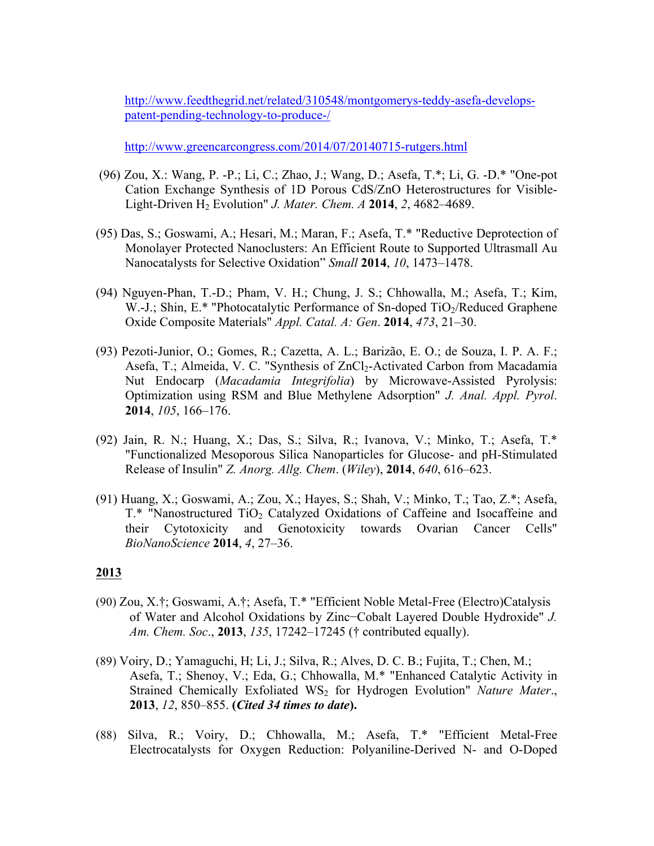http://www.feedthegrid.net/related/310548/montgomerys-teddy-asefa-developspatent-pending-technology-to-produce-/

http://www.greencarcongress.com/2014/07/20140715-rutgers.html

- (96) Zou, X.: Wang, P. -P.; Li, C.; Zhao, J.; Wang, D.; Asefa, T.\*; Li, G. -D.\* "One-pot Cation Exchange Synthesis of 1D Porous CdS/ZnO Heterostructures for Visible-Light-Driven H2 Evolution" *J. Mater. Chem. A* **2014**, *2*, 4682–4689.
- (95) Das, S.; Goswami, A.; Hesari, M.; Maran, F.; Asefa, T.\* "Reductive Deprotection of Monolayer Protected Nanoclusters: An Efficient Route to Supported Ultrasmall Au Nanocatalysts for Selective Oxidation" *Small* **2014**, *10*, 1473–1478.
- (94) Nguyen-Phan, T.-D.; Pham, V. H.; Chung, J. S.; Chhowalla, M.; Asefa, T.; Kim, W.-J.; Shin, E.\* "Photocatalytic Performance of Sn-doped TiO<sub>2</sub>/Reduced Graphene Oxide Composite Materials" *Appl. Catal. A: Gen*. **2014**, *473*, 21–30.
- (93) Pezoti-Junior, O.; Gomes, R.; Cazetta, A. L.; Barizão, E. O.; de Souza, I. P. A. F.; Asefa, T.; Almeida, V. C. "Synthesis of ZnCl<sub>2</sub>-Activated Carbon from Macadamia Nut Endocarp (*Macadamia Integrifolia*) by Microwave-Assisted Pyrolysis: Optimization using RSM and Blue Methylene Adsorption" *J. Anal. Appl. Pyrol*. **2014**, *105*, 166–176.
- (92) Jain, R. N.; Huang, X.; Das, S.; Silva, R.; Ivanova, V.; Minko, T.; Asefa, T.\* "Functionalized Mesoporous Silica Nanoparticles for Glucose- and pH-Stimulated Release of Insulin" *Z. Anorg. Allg. Chem*. (*Wiley*), **2014**, *640*, 616–623.
- (91) Huang, X.; Goswami, A.; Zou, X.; Hayes, S.; Shah, V.; Minko, T.; Tao, Z.\*; Asefa, T.\* "Nanostructured TiO<sub>2</sub> Catalyzed Oxidations of Caffeine and Isocaffeine and their Cytotoxicity and Genotoxicity towards Ovarian Cancer Cells" *BioNanoScience* **2014**, *4*, 27–36.

- (90) Zou, X.†; Goswami, A.†; Asefa, T.\* "Efficient Noble Metal-Free (Electro)Catalysis of Water and Alcohol Oxidations by Zinc−Cobalt Layered Double Hydroxide" *J. Am. Chem. Soc*., **2013**, *135*, 17242–17245 († contributed equally).
- (89) Voiry, D.; Yamaguchi, H; Li, J.; Silva, R.; Alves, D. C. B.; Fujita, T.; Chen, M.; Asefa, T.; Shenoy, V.; Eda, G.; Chhowalla, M.\* "Enhanced Catalytic Activity in Strained Chemically Exfoliated WS<sub>2</sub> for Hydrogen Evolution" *Nature Mater.*, **2013**, *12*, 850–855. **(***Cited 34 times to date***).**
- (88) Silva, R.; Voiry, D.; Chhowalla, M.; Asefa, T.\* "Efficient Metal-Free Electrocatalysts for Oxygen Reduction: Polyaniline-Derived N- and O-Doped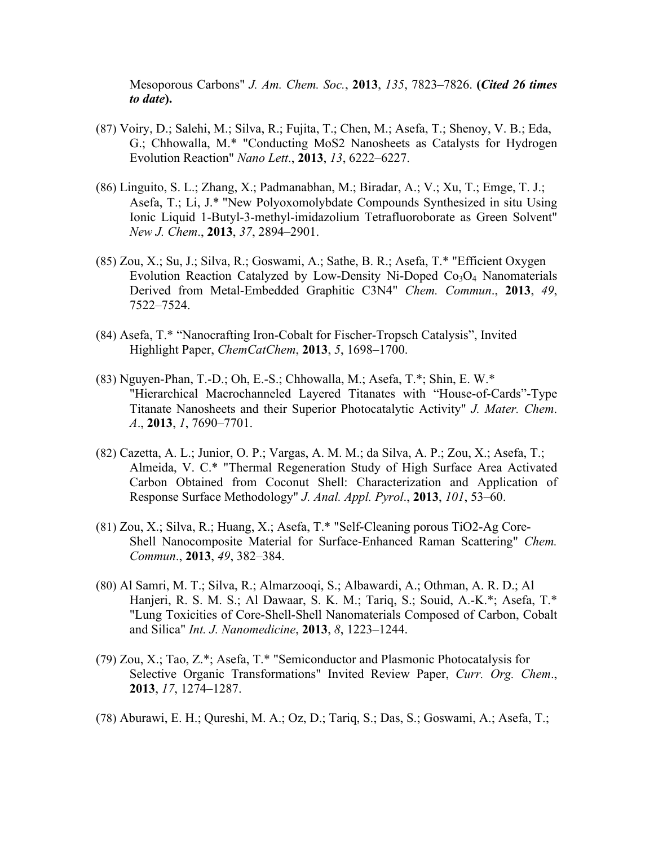Mesoporous Carbons" *J. Am. Chem. Soc.*, **2013**, *135*, 7823–7826. **(***Cited 26 times to date***).**

- (87) Voiry, D.; Salehi, M.; Silva, R.; Fujita, T.; Chen, M.; Asefa, T.; Shenoy, V. B.; Eda, G.; Chhowalla, M.\* "Conducting MoS2 Nanosheets as Catalysts for Hydrogen Evolution Reaction" *Nano Lett*., **2013**, *13*, 6222–6227.
- (86) Linguito, S. L.; Zhang, X.; Padmanabhan, M.; Biradar, A.; V.; Xu, T.; Emge, T. J.; Asefa, T.; Li, J.\* "New Polyoxomolybdate Compounds Synthesized in situ Using Ionic Liquid 1-Butyl-3-methyl-imidazolium Tetrafluoroborate as Green Solvent" *New J. Chem*., **2013**, *37*, 2894–2901.
- (85) Zou, X.; Su, J.; Silva, R.; Goswami, A.; Sathe, B. R.; Asefa, T.\* "Efficient Oxygen Evolution Reaction Catalyzed by Low-Density Ni-Doped  $Co<sub>3</sub>O<sub>4</sub>$  Nanomaterials Derived from Metal-Embedded Graphitic C3N4" *Chem. Commun*., **2013**, *49*, 7522–7524.
- (84) Asefa, T.\* "Nanocrafting Iron-Cobalt for Fischer-Tropsch Catalysis", Invited Highlight Paper, *ChemCatChem*, **2013**, *5*, 1698–1700.
- (83) Nguyen-Phan, T.-D.; Oh, E.-S.; Chhowalla, M.; Asefa, T.\*; Shin, E. W.\* "Hierarchical Macrochanneled Layered Titanates with "House-of-Cards"-Type Titanate Nanosheets and their Superior Photocatalytic Activity" *J. Mater. Chem*. *A*., **2013**, *1*, 7690–7701.
- (82) Cazetta, A. L.; Junior, O. P.; Vargas, A. M. M.; da Silva, A. P.; Zou, X.; Asefa, T.; Almeida, V. C.\* "Thermal Regeneration Study of High Surface Area Activated Carbon Obtained from Coconut Shell: Characterization and Application of Response Surface Methodology" *J. Anal. Appl. Pyrol*., **2013**, *101*, 53–60.
- (81) Zou, X.; Silva, R.; Huang, X.; Asefa, T.\* "Self-Cleaning porous TiO2-Ag Core-Shell Nanocomposite Material for Surface-Enhanced Raman Scattering" *Chem. Commun*., **2013**, *49*, 382–384.
- (80) Al Samri, M. T.; Silva, R.; Almarzooqi, S.; Albawardi, A.; Othman, A. R. D.; Al Hanjeri, R. S. M. S.; Al Dawaar, S. K. M.; Tariq, S.; Souid, A.-K.\*; Asefa, T.\* "Lung Toxicities of Core-Shell-Shell Nanomaterials Composed of Carbon, Cobalt and Silica" *Int. J. Nanomedicine*, **2013**, *8*, 1223–1244.
- (79) Zou, X.; Tao, Z.\*; Asefa, T.\* "Semiconductor and Plasmonic Photocatalysis for Selective Organic Transformations" Invited Review Paper, *Curr. Org. Chem*., **2013**, *17*, 1274–1287.
- (78) Aburawi, E. H.; Qureshi, M. A.; Oz, D.; Tariq, S.; Das, S.; Goswami, A.; Asefa, T.;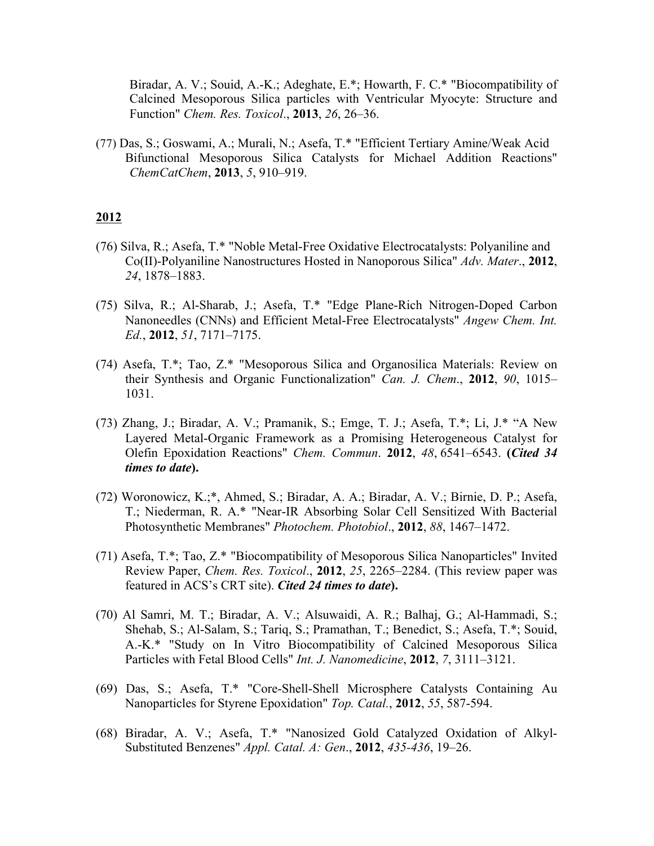Biradar, A. V.; Souid, A.-K.; Adeghate, E.\*; Howarth, F. C.\* "Biocompatibility of Calcined Mesoporous Silica particles with Ventricular Myocyte: Structure and Function" *Chem. Res. Toxicol*., **2013**, *26*, 26–36.

(77) Das, S.; Goswami, A.; Murali, N.; Asefa, T.\* "Efficient Tertiary Amine/Weak Acid Bifunctional Mesoporous Silica Catalysts for Michael Addition Reactions" *ChemCatChem*, **2013**, *5*, 910–919.

- (76) Silva, R.; Asefa, T.\* "Noble Metal-Free Oxidative Electrocatalysts: Polyaniline and Co(II)-Polyaniline Nanostructures Hosted in Nanoporous Silica" *Adv. Mater*., **2012**, *24*, 1878–1883.
- (75) Silva, R.; Al-Sharab, J.; Asefa, T.\* "Edge Plane-Rich Nitrogen-Doped Carbon Nanoneedles (CNNs) and Efficient Metal-Free Electrocatalysts" *Angew Chem. Int. Ed.*, **2012**, *51*, 7171–7175.
- (74) Asefa, T.\*; Tao, Z.\* "Mesoporous Silica and Organosilica Materials: Review on their Synthesis and Organic Functionalization" *Can. J. Chem*., **2012**, *90*, 1015– 1031.
- (73) Zhang, J.; Biradar, A. V.; Pramanik, S.; Emge, T. J.; Asefa, T.\*; Li, J.\* "A New Layered Metal-Organic Framework as a Promising Heterogeneous Catalyst for Olefin Epoxidation Reactions" *Chem. Commun*. **2012**, *48*, 6541–6543. **(***Cited 34 times to date***).**
- (72) Woronowicz, K.;\*, Ahmed, S.; Biradar, A. A.; Biradar, A. V.; Birnie, D. P.; Asefa, T.; Niederman, R. A.\* "Near-IR Absorbing Solar Cell Sensitized With Bacterial Photosynthetic Membranes" *Photochem. Photobiol*., **2012**, *88*, 1467–1472.
- (71) Asefa, T.\*; Tao, Z.\* "Biocompatibility of Mesoporous Silica Nanoparticles" Invited Review Paper, *Chem. Res. Toxicol*., **2012**, *25*, 2265–2284. (This review paper was featured in ACS's CRT site). *Cited 24 times to date***).**
- (70) Al Samri, M. T.; Biradar, A. V.; Alsuwaidi, A. R.; Balhaj, G.; Al-Hammadi, S.; Shehab, S.; Al-Salam, S.; Tariq, S.; Pramathan, T.; Benedict, S.; Asefa, T.\*; Souid, A.-K.\* "Study on In Vitro Biocompatibility of Calcined Mesoporous Silica Particles with Fetal Blood Cells" *Int. J. Nanomedicine*, **2012**, *7*, 3111–3121.
- (69) Das, S.; Asefa, T.\* "Core-Shell-Shell Microsphere Catalysts Containing Au Nanoparticles for Styrene Epoxidation" *Top. Catal.*, **2012**, *55*, 587-594.
- (68) Biradar, A. V.; Asefa, T.\* "Nanosized Gold Catalyzed Oxidation of Alkyl-Substituted Benzenes" *Appl. Catal. A: Gen*., **2012**, *435-436*, 19–26.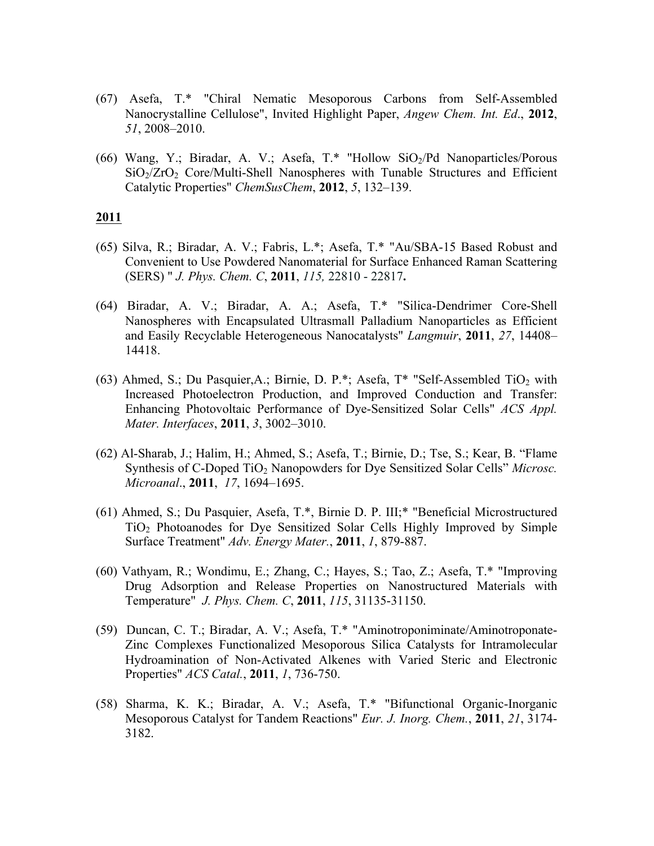- (67) Asefa, T.\* "Chiral Nematic Mesoporous Carbons from Self-Assembled Nanocrystalline Cellulose", Invited Highlight Paper, *Angew Chem. Int. Ed*., **2012**, *51*, 2008–2010.
- (66) Wang, Y.; Biradar, A. V.; Asefa, T.\* "Hollow SiO2/Pd Nanoparticles/Porous  $SiO<sub>2</sub>/ZrO<sub>2</sub>$  Core/Multi-Shell Nanospheres with Tunable Structures and Efficient Catalytic Properties" *ChemSusChem*, **2012**, *5*, 132–139.

- (65) Silva, R.; Biradar, A. V.; Fabris, L.\*; Asefa, T.\* "Au/SBA-15 Based Robust and Convenient to Use Powdered Nanomaterial for Surface Enhanced Raman Scattering (SERS) " *J. Phys. Chem. C*, **2011**, *115,* 22810 - 22817**.**
- (64) Biradar, A. V.; Biradar, A. A.; Asefa, T.\* "Silica-Dendrimer Core-Shell Nanospheres with Encapsulated Ultrasmall Palladium Nanoparticles as Efficient and Easily Recyclable Heterogeneous Nanocatalysts" *Langmuir*, **2011**, *27*, 14408– 14418.
- (63) Ahmed, S.; Du Pasquier, A.; Birnie, D. P.\*; Asefa,  $T^*$  "Self-Assembled TiO<sub>2</sub> with Increased Photoelectron Production, and Improved Conduction and Transfer: Enhancing Photovoltaic Performance of Dye-Sensitized Solar Cells" *ACS Appl. Mater. Interfaces*, **2011**, *3*, 3002–3010.
- (62) Al-Sharab, J.; Halim, H.; Ahmed, S.; Asefa, T.; Birnie, D.; Tse, S.; Kear, B. "Flame Synthesis of C-Doped TiO2 Nanopowders for Dye Sensitized Solar Cells" *Microsc. Microanal*., **2011**, *17*, 1694–1695.
- (61) Ahmed, S.; Du Pasquier, Asefa, T.\*, Birnie D. P. III;\* "Beneficial Microstructured TiO2 Photoanodes for Dye Sensitized Solar Cells Highly Improved by Simple Surface Treatment" *Adv. Energy Mater.*, **2011**, *1*, 879-887.
- (60) Vathyam, R.; Wondimu, E.; Zhang, C.; Hayes, S.; Tao, Z.; Asefa, T.\* "Improving Drug Adsorption and Release Properties on Nanostructured Materials with Temperature" *J. Phys. Chem. C*, **2011**, *115*, 31135-31150.
- (59) Duncan, C. T.; Biradar, A. V.; Asefa, T.\* "Aminotroponiminate/Aminotroponate-Zinc Complexes Functionalized Mesoporous Silica Catalysts for Intramolecular Hydroamination of Non-Activated Alkenes with Varied Steric and Electronic Properties" *ACS Catal.*, **2011**, *1*, 736-750.
- (58) Sharma, K. K.; Biradar, A. V.; Asefa, T.\* "Bifunctional Organic-Inorganic Mesoporous Catalyst for Tandem Reactions" *Eur. J. Inorg. Chem.*, **2011**, *21*, 3174- 3182.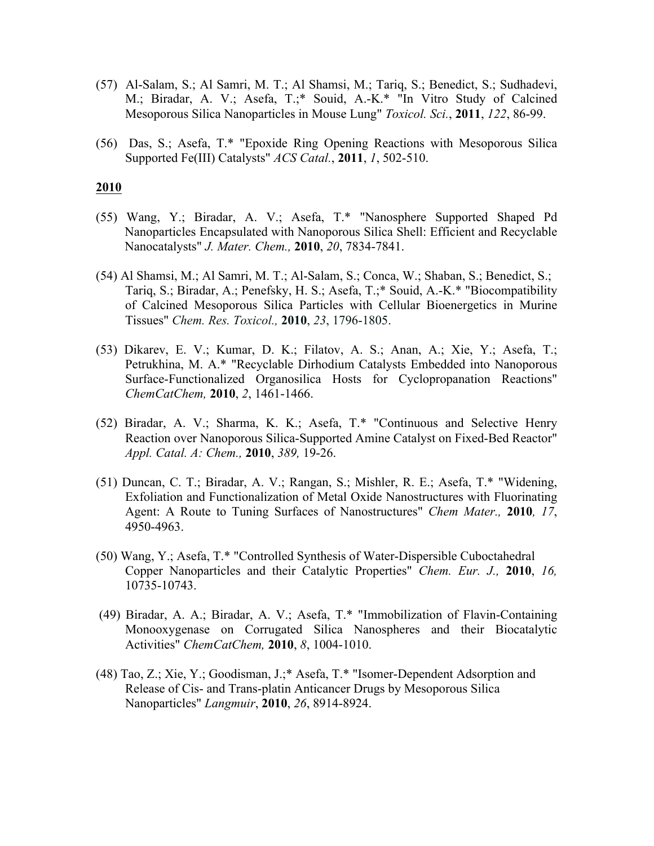- (57) Al-Salam, S.; Al Samri, M. T.; Al Shamsi, M.; Tariq, S.; Benedict, S.; Sudhadevi, M.; Biradar, A. V.; Asefa, T.;\* Souid, A.-K.\* "In Vitro Study of Calcined Mesoporous Silica Nanoparticles in Mouse Lung" *Toxicol. Sci.*, **2011**, *122*, 86-99.
- (56) Das, S.; Asefa, T.\* "Epoxide Ring Opening Reactions with Mesoporous Silica Supported Fe(III) Catalysts" *ACS Catal.*, **2011**, *1*, 502-510.

- (55) Wang, Y.; Biradar, A. V.; Asefa, T.\* "Nanosphere Supported Shaped Pd Nanoparticles Encapsulated with Nanoporous Silica Shell: Efficient and Recyclable Nanocatalysts" *J. Mater. Chem.,* **2010**, *20*, 7834-7841.
- (54) Al Shamsi, M.; Al Samri, M. T.; Al-Salam, S.; Conca, W.; Shaban, S.; Benedict, S.; Tariq, S.; Biradar, A.; Penefsky, H. S.; Asefa, T.;\* Souid, A.-K.\* "Biocompatibility of Calcined Mesoporous Silica Particles with Cellular Bioenergetics in Murine Tissues" *Chem. Res. Toxicol.,* **2010**, *23*, 1796-1805.
- (53) Dikarev, E. V.; Kumar, D. K.; Filatov, A. S.; Anan, A.; Xie, Y.; Asefa, T.; Petrukhina, M. A.\* "Recyclable Dirhodium Catalysts Embedded into Nanoporous Surface-Functionalized Organosilica Hosts for Cyclopropanation Reactions" *ChemCatChem,* **2010**, *2*, 1461-1466.
- (52) Biradar, A. V.; Sharma, K. K.; Asefa, T.\* "Continuous and Selective Henry Reaction over Nanoporous Silica-Supported Amine Catalyst on Fixed-Bed Reactor" *Appl. Catal. A: Chem.,* **2010**, *389,* 19-26.
- (51) Duncan, C. T.; Biradar, A. V.; Rangan, S.; Mishler, R. E.; Asefa, T.\* "Widening, Exfoliation and Functionalization of Metal Oxide Nanostructures with Fluorinating Agent: A Route to Tuning Surfaces of Nanostructures" *Chem Mater.,* **2010***, 17*, 4950-4963.
- (50) Wang, Y.; Asefa, T.\* "Controlled Synthesis of Water-Dispersible Cuboctahedral Copper Nanoparticles and their Catalytic Properties" *Chem. Eur. J.,* **2010**, *16,*  10735-10743.
- (49) Biradar, A. A.; Biradar, A. V.; Asefa, T.\* "Immobilization of Flavin-Containing Monooxygenase on Corrugated Silica Nanospheres and their Biocatalytic Activities" *ChemCatChem,* **2010**, *8*, 1004-1010.
- (48) Tao, Z.; Xie, Y.; Goodisman, J.;\* Asefa, T.\* "Isomer-Dependent Adsorption and Release of Cis- and Trans-platin Anticancer Drugs by Mesoporous Silica Nanoparticles" *Langmuir*, **2010**, *26*, 8914-8924.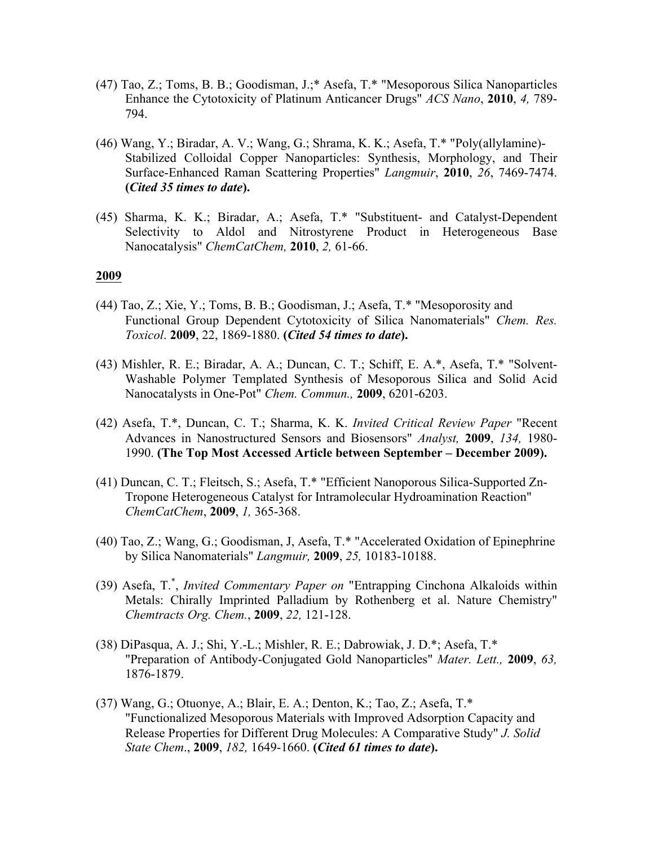- (47) Tao, Z.; Toms, B. B.; Goodisman, J.;\* Asefa, T.\* "Mesoporous Silica Nanoparticles Enhance the Cytotoxicity of Platinum Anticancer Drugs" *ACS Nano*, **2010**, *4,* 789- 794.
- (46) Wang, Y.; Biradar, A. V.; Wang, G.; Shrama, K. K.; Asefa, T.\* "Poly(allylamine)- Stabilized Colloidal Copper Nanoparticles: Synthesis, Morphology, and Their Surface-Enhanced Raman Scattering Properties" *Langmuir*, **2010**, *26*, 7469-7474. **(***Cited 35 times to date***).**
- (45) Sharma, K. K.; Biradar, A.; Asefa, T.\* "Substituent- and Catalyst-Dependent Selectivity to Aldol and Nitrostyrene Product in Heterogeneous Base Nanocatalysis" *ChemCatChem,* **2010**, *2,* 61-66.

- (44) Tao, Z.; Xie, Y.; Toms, B. B.; Goodisman, J.; Asefa, T.\* "Mesoporosity and Functional Group Dependent Cytotoxicity of Silica Nanomaterials" *Chem. Res. Toxicol*. **2009**, 22, 1869-1880. **(***Cited 54 times to date***).**
- (43) Mishler, R. E.; Biradar, A. A.; Duncan, C. T.; Schiff, E. A.\*, Asefa, T.\* "Solvent-Washable Polymer Templated Synthesis of Mesoporous Silica and Solid Acid Nanocatalysts in One-Pot" *Chem. Commun.,* **2009**, 6201-6203.
- (42) Asefa, T.\*, Duncan, C. T.; Sharma, K. K. *Invited Critical Review Paper* "Recent Advances in Nanostructured Sensors and Biosensors" *Analyst,* **2009**, *134,* 1980- 1990. **(The Top Most Accessed Article between September – December 2009).**
- (41) Duncan, C. T.; Fleitsch, S.; Asefa, T.\* "Efficient Nanoporous Silica-Supported Zn-Tropone Heterogeneous Catalyst for Intramolecular Hydroamination Reaction" *ChemCatChem*, **2009**, *1,* 365-368.
- (40) Tao, Z.; Wang, G.; Goodisman, J, Asefa, T.\* "Accelerated Oxidation of Epinephrine by Silica Nanomaterials" *Langmuir,* **2009**, *25,* 10183-10188.
- (39) Asefa, T.\* , *Invited Commentary Paper on* "Entrapping Cinchona Alkaloids within Metals: Chirally Imprinted Palladium by Rothenberg et al. Nature Chemistry" *Chemtracts Org. Chem.*, **2009**, *22,* 121-128.
- (38) DiPasqua, A. J.; Shi, Y.-L.; Mishler, R. E.; Dabrowiak, J. D.\*; Asefa, T.\* "Preparation of Antibody-Conjugated Gold Nanoparticles" *Mater. Lett.,* **2009**, *63,*  1876-1879.
- (37) Wang, G.; Otuonye, A.; Blair, E. A.; Denton, K.; Tao, Z.; Asefa, T.\* "Functionalized Mesoporous Materials with Improved Adsorption Capacity and Release Properties for Different Drug Molecules: A Comparative Study" *J. Solid State Chem*., **2009**, *182,* 1649-1660. **(***Cited 61 times to date***).**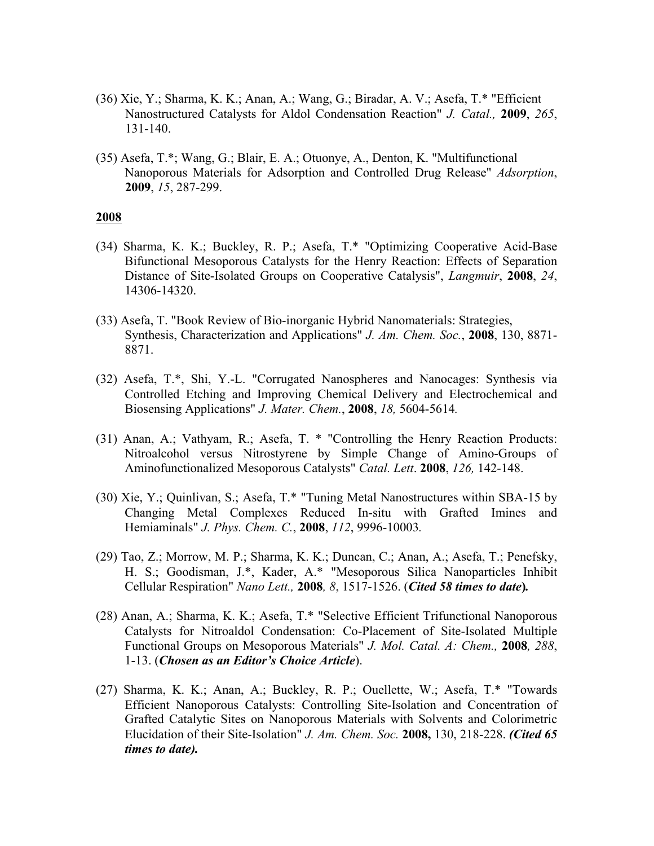- (36) Xie, Y.; Sharma, K. K.; Anan, A.; Wang, G.; Biradar, A. V.; Asefa, T.\* "Efficient Nanostructured Catalysts for Aldol Condensation Reaction" *J. Catal.,* **2009**, *265*, 131-140.
- (35) Asefa, T.\*; Wang, G.; Blair, E. A.; Otuonye, A., Denton, K. "Multifunctional Nanoporous Materials for Adsorption and Controlled Drug Release" *Adsorption*, **2009**, *15*, 287-299.

- (34) Sharma, K. K.; Buckley, R. P.; Asefa, T.\* "Optimizing Cooperative Acid-Base Bifunctional Mesoporous Catalysts for the Henry Reaction: Effects of Separation Distance of Site-Isolated Groups on Cooperative Catalysis", *Langmuir*, **2008**, *24*, 14306-14320.
- (33) Asefa, T. "Book Review of Bio-inorganic Hybrid Nanomaterials: Strategies, Synthesis, Characterization and Applications" *J. Am. Chem. Soc.*, **2008**, 130, 8871- 8871.
- (32) Asefa, T.\*, Shi, Y.-L. "Corrugated Nanospheres and Nanocages: Synthesis via Controlled Etching and Improving Chemical Delivery and Electrochemical and Biosensing Applications" *J. Mater. Chem.*, **2008**, *18,* 5604-5614*.*
- (31) Anan, A.; Vathyam, R.; Asefa, T. \* "Controlling the Henry Reaction Products: Nitroalcohol versus Nitrostyrene by Simple Change of Amino-Groups of Aminofunctionalized Mesoporous Catalysts" *Catal. Lett*. **2008**, *126,* 142-148.
- (30) Xie, Y.; Quinlivan, S.; Asefa, T.\* "Tuning Metal Nanostructures within SBA-15 by Changing Metal Complexes Reduced In-situ with Grafted Imines and Hemiaminals" *J. Phys. Chem. C.*, **2008**, *112*, 9996-10003*.*
- (29) Tao, Z.; Morrow, M. P.; Sharma, K. K.; Duncan, C.; Anan, A.; Asefa, T.; Penefsky, H. S.; Goodisman, J.\*, Kader, A.\* "Mesoporous Silica Nanoparticles Inhibit Cellular Respiration" *Nano Lett.,* **2008***, 8*, 1517-1526. (*Cited 58 times to date***)***.*
- (28) Anan, A.; Sharma, K. K.; Asefa, T.\* "Selective Efficient Trifunctional Nanoporous Catalysts for Nitroaldol Condensation: Co-Placement of Site-Isolated Multiple Functional Groups on Mesoporous Materials" *J. Mol. Catal. A: Chem.,* **2008***, 288*, 1-13. (*Chosen as an Editor's Choice Article*).
- (27) Sharma, K. K.; Anan, A.; Buckley, R. P.; Ouellette, W.; Asefa, T.\* "Towards Efficient Nanoporous Catalysts: Controlling Site-Isolation and Concentration of Grafted Catalytic Sites on Nanoporous Materials with Solvents and Colorimetric Elucidation of their Site-Isolation" *J. Am. Chem. Soc.* **2008,** 130, 218-228. *(Cited 65 times to date).*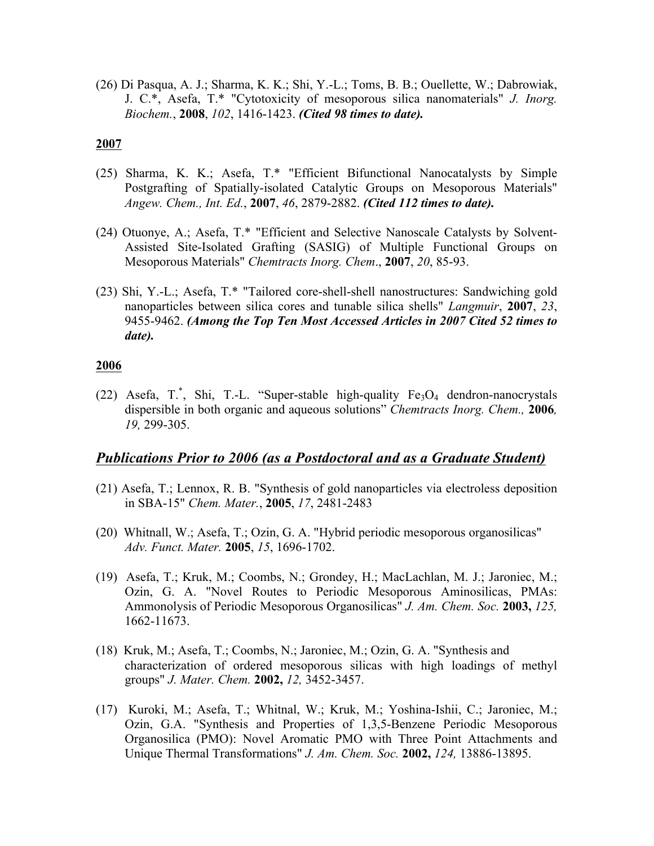(26) Di Pasqua, A. J.; Sharma, K. K.; Shi, Y.-L.; Toms, B. B.; Ouellette, W.; Dabrowiak, J. C.\*, Asefa, T.\* "Cytotoxicity of mesoporous silica nanomaterials" *J. Inorg. Biochem.*, **2008**, *102*, 1416-1423. *(Cited 98 times to date).*

#### **2007**

- (25) Sharma, K. K.; Asefa, T.\* "Efficient Bifunctional Nanocatalysts by Simple Postgrafting of Spatially-isolated Catalytic Groups on Mesoporous Materials" *Angew. Chem., Int. Ed.*, **2007**, *46*, 2879-2882. *(Cited 112 times to date).*
- (24) Otuonye, A.; Asefa, T.\* "Efficient and Selective Nanoscale Catalysts by Solvent-Assisted Site-Isolated Grafting (SASIG) of Multiple Functional Groups on Mesoporous Materials" *Chemtracts Inorg. Chem*., **2007**, *20*, 85-93.
- (23) Shi, Y.-L.; Asefa, T.\* "Tailored core-shell-shell nanostructures: Sandwiching gold nanoparticles between silica cores and tunable silica shells" *Langmuir*, **2007**, *23*, 9455-9462. *(Among the Top Ten Most Accessed Articles in 2007 Cited 52 times to date).*

#### **2006**

(22) Asefa, T.\*, Shi, T.-L. "Super-stable high-quality  $Fe<sub>3</sub>O<sub>4</sub>$  dendron-nanocrystals dispersible in both organic and aqueous solutions" *Chemtracts Inorg. Chem.,* **2006***, 19,* 299-305.

## *Publications Prior to 2006 (as a Postdoctoral and as a Graduate Student)*

- (21) Asefa, T.; Lennox, R. B. "Synthesis of gold nanoparticles via electroless deposition in SBA-15" *Chem. Mater.*, **2005**, *17*, 2481-2483
- (20) Whitnall, W.; Asefa, T.; Ozin, G. A. "Hybrid periodic mesoporous organosilicas" *Adv. Funct. Mater.* **2005**, *15*, 1696-1702.
- (19) Asefa, T.; Kruk, M.; Coombs, N.; Grondey, H.; MacLachlan, M. J.; Jaroniec, M.; Ozin, G. A. "Novel Routes to Periodic Mesoporous Aminosilicas, PMAs: Ammonolysis of Periodic Mesoporous Organosilicas" *J. Am. Chem. Soc.* **2003,** *125,*  1662-11673.
- (18) Kruk, M.; Asefa, T.; Coombs, N.; Jaroniec, M.; Ozin, G. A. "Synthesis and characterization of ordered mesoporous silicas with high loadings of methyl groups" *J. Mater. Chem.* **2002,** *12,* 3452-3457.
- (17) Kuroki, M.; Asefa, T.; Whitnal, W.; Kruk, M.; Yoshina-Ishii, C.; Jaroniec, M.; Ozin, G.A. "Synthesis and Properties of 1,3,5-Benzene Periodic Mesoporous Organosilica (PMO): Novel Aromatic PMO with Three Point Attachments and Unique Thermal Transformations" *J. Am. Chem. Soc.* **2002,** *124,* 13886-13895.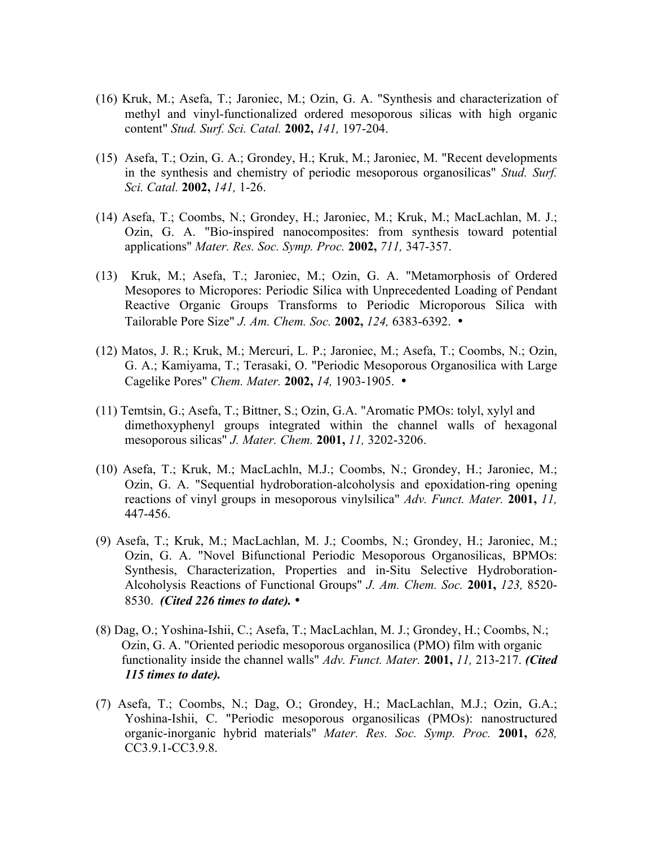- (16) Kruk, M.; Asefa, T.; Jaroniec, M.; Ozin, G. A. "Synthesis and characterization of methyl and vinyl-functionalized ordered mesoporous silicas with high organic content" *Stud. Surf. Sci. Catal.* **2002,** *141,* 197-204.
- (15) Asefa, T.; Ozin, G. A.; Grondey, H.; Kruk, M.; Jaroniec, M. "Recent developments in the synthesis and chemistry of periodic mesoporous organosilicas" *Stud. Surf. Sci. Catal.* **2002,** *141,* 1-26.
- (14) Asefa, T.; Coombs, N.; Grondey, H.; Jaroniec, M.; Kruk, M.; MacLachlan, M. J.; Ozin, G. A. "Bio-inspired nanocomposites: from synthesis toward potential applications" *Mater. Res. Soc. Symp. Proc.* **2002,** *711,* 347-357.
- (13) Kruk, M.; Asefa, T.; Jaroniec, M.; Ozin, G. A. "Metamorphosis of Ordered Mesopores to Micropores: Periodic Silica with Unprecedented Loading of Pendant Reactive Organic Groups Transforms to Periodic Microporous Silica with Tailorable Pore Size" *J. Am. Chem. Soc.* **2002,** *124,* 6383-6392. •
- (12) Matos, J. R.; Kruk, M.; Mercuri, L. P.; Jaroniec, M.; Asefa, T.; Coombs, N.; Ozin, G. A.; Kamiyama, T.; Terasaki, O. "Periodic Mesoporous Organosilica with Large Cagelike Pores" *Chem. Mater.* **2002,** *14,* 1903-1905. •
- (11) Temtsin, G.; Asefa, T.; Bittner, S.; Ozin, G.A. "Aromatic PMOs: tolyl, xylyl and dimethoxyphenyl groups integrated within the channel walls of hexagonal mesoporous silicas" *J. Mater. Chem.* **2001,** *11,* 3202-3206.
- (10) Asefa, T.; Kruk, M.; MacLachln, M.J.; Coombs, N.; Grondey, H.; Jaroniec, M.; Ozin, G. A. "Sequential hydroboration-alcoholysis and epoxidation-ring opening reactions of vinyl groups in mesoporous vinylsilica" *Adv. Funct. Mater.* **2001,** *11,*  447-456.
- (9) Asefa, T.; Kruk, M.; MacLachlan, M. J.; Coombs, N.; Grondey, H.; Jaroniec, M.; Ozin, G. A. "Novel Bifunctional Periodic Mesoporous Organosilicas, BPMOs: Synthesis, Characterization, Properties and in-Situ Selective Hydroboration-Alcoholysis Reactions of Functional Groups" *J. Am. Chem. Soc.* **2001,** *123,* 8520- 8530. *(Cited 226 times to date).* •
- (8) Dag, O.; Yoshina-Ishii, C.; Asefa, T.; MacLachlan, M. J.; Grondey, H.; Coombs, N.; Ozin, G. A. "Oriented periodic mesoporous organosilica (PMO) film with organic functionality inside the channel walls" *Adv. Funct. Mater.* **2001,** *11,* 213-217. *(Cited 115 times to date).*
- (7) Asefa, T.; Coombs, N.; Dag, O.; Grondey, H.; MacLachlan, M.J.; Ozin, G.A.; Yoshina-Ishii, C. "Periodic mesoporous organosilicas (PMOs): nanostructured organic-inorganic hybrid materials" *Mater. Res. Soc. Symp. Proc.* **2001,** *628,*  CC3.9.1-CC3.9.8.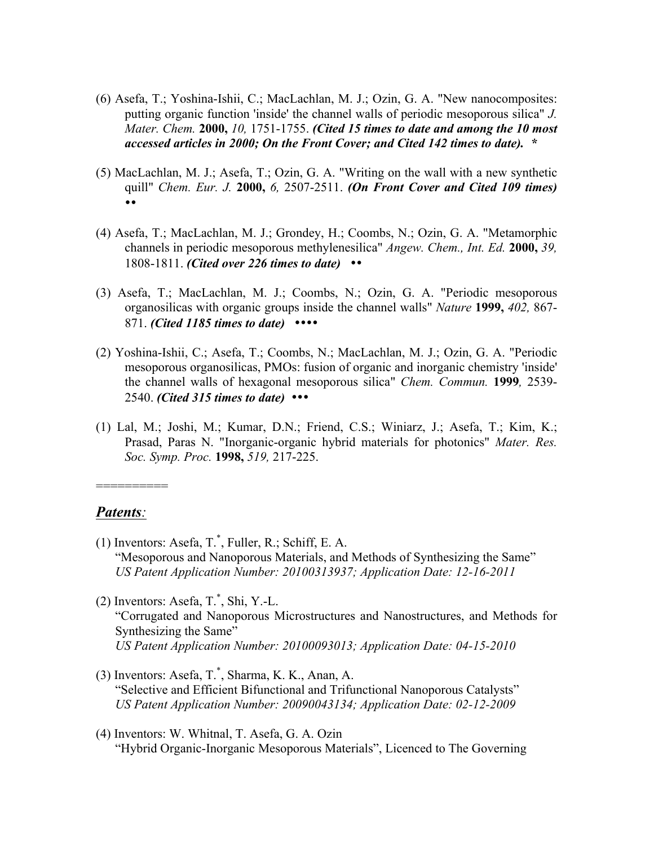- (6) Asefa, T.; Yoshina-Ishii, C.; MacLachlan, M. J.; Ozin, G. A. "New nanocomposites: putting organic function 'inside' the channel walls of periodic mesoporous silica" *J. Mater. Chem.* **2000,** *10,* 1751-1755. *(Cited 15 times to date and among the 10 most accessed articles in 2000; On the Front Cover; and Cited 142 times to date). \**
- (5) MacLachlan, M. J.; Asefa, T.; Ozin, G. A. "Writing on the wall with a new synthetic quill" *Chem. Eur. J.* **2000,** *6,* 2507-2511. *(On Front Cover and Cited 109 times)*  ••
- (4) Asefa, T.; MacLachlan, M. J.; Grondey, H.; Coombs, N.; Ozin, G. A. "Metamorphic channels in periodic mesoporous methylenesilica" *Angew. Chem., Int. Ed.* **2000,** *39,*  1808-1811. *(Cited over 226 times to date)* ••
- (3) Asefa, T.; MacLachlan, M. J.; Coombs, N.; Ozin, G. A. "Periodic mesoporous organosilicas with organic groups inside the channel walls" *Nature* **1999,** *402,* 867- 871. *(Cited 1185 times to date)* ••••
- (2) Yoshina-Ishii, C.; Asefa, T.; Coombs, N.; MacLachlan, M. J.; Ozin, G. A. "Periodic mesoporous organosilicas, PMOs: fusion of organic and inorganic chemistry 'inside' the channel walls of hexagonal mesoporous silica" *Chem. Commun.* **1999***,* 2539- 2540. *(Cited 315 times to date)* •••
- (1) Lal, M.; Joshi, M.; Kumar, D.N.; Friend, C.S.; Winiarz, J.; Asefa, T.; Kim, K.; Prasad, Paras N. "Inorganic-organic hybrid materials for photonics" *Mater. Res. Soc. Symp. Proc.* **1998,** *519,* 217-225.

#### *Patents:*

==========

- (1) Inventors: Asefa, T.\* , Fuller, R.; Schiff, E. A. "Mesoporous and Nanoporous Materials, and Methods of Synthesizing the Same" *US Patent Application Number: 20100313937; Application Date: 12-16-2011*
- (2) Inventors: Asefa, T.\* , Shi, Y.-L. "Corrugated and Nanoporous Microstructures and Nanostructures, and Methods for Synthesizing the Same" *US Patent Application Number: 20100093013; Application Date: 04-15-2010*
- (3) Inventors: Asefa, T.\* , Sharma, K. K., Anan, A. "Selective and Efficient Bifunctional and Trifunctional Nanoporous Catalysts" *US Patent Application Number: 20090043134; Application Date: 02-12-2009*
- (4) Inventors: W. Whitnal, T. Asefa, G. A. Ozin "Hybrid Organic-Inorganic Mesoporous Materials", Licenced to The Governing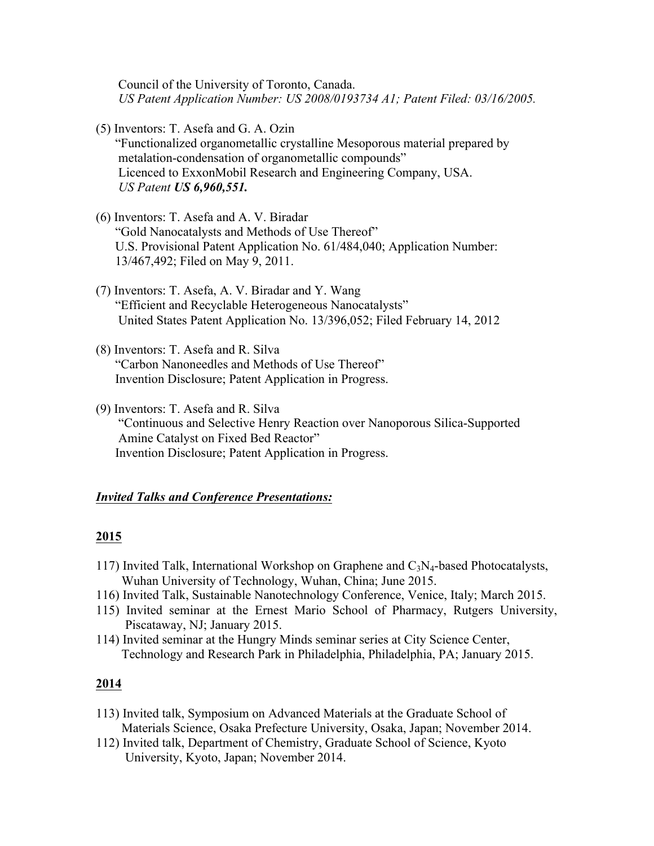Council of the University of Toronto, Canada. *US Patent Application Number: US 2008/0193734 A1; Patent Filed: 03/16/2005.*

(5) Inventors: T. Asefa and G. A. Ozin

 "Functionalized organometallic crystalline Mesoporous material prepared by metalation-condensation of organometallic compounds" Licenced to ExxonMobil Research and Engineering Company, USA.  *US Patent US 6,960,551.* 

- (6) Inventors: T. Asefa and A. V. Biradar "Gold Nanocatalysts and Methods of Use Thereof" U.S. Provisional Patent Application No. 61/484,040; Application Number: 13/467,492; Filed on May 9, 2011.
- (7) Inventors: T. Asefa, A. V. Biradar and Y. Wang "Efficient and Recyclable Heterogeneous Nanocatalysts" United States Patent Application No. 13/396,052; Filed February 14, 2012
- (8) Inventors: T. Asefa and R. Silva "Carbon Nanoneedles and Methods of Use Thereof" Invention Disclosure; Patent Application in Progress.
- (9) Inventors: T. Asefa and R. Silva "Continuous and Selective Henry Reaction over Nanoporous Silica-Supported Amine Catalyst on Fixed Bed Reactor" Invention Disclosure; Patent Application in Progress.

## *Invited Talks and Conference Presentations:*

#### **2015**

- 117) Invited Talk, International Workshop on Graphene and  $C_3N_4$ -based Photocatalysts, Wuhan University of Technology, Wuhan, China; June 2015.
- 116) Invited Talk, Sustainable Nanotechnology Conference, Venice, Italy; March 2015.
- 115) Invited seminar at the Ernest Mario School of Pharmacy, Rutgers University, Piscataway, NJ; January 2015.
- 114) Invited seminar at the Hungry Minds seminar series at City Science Center, Technology and Research Park in Philadelphia, Philadelphia, PA; January 2015.

- 113) Invited talk, Symposium on Advanced Materials at the Graduate School of Materials Science, Osaka Prefecture University, Osaka, Japan; November 2014.
- 112) Invited talk, Department of Chemistry, Graduate School of Science, Kyoto University, Kyoto, Japan; November 2014.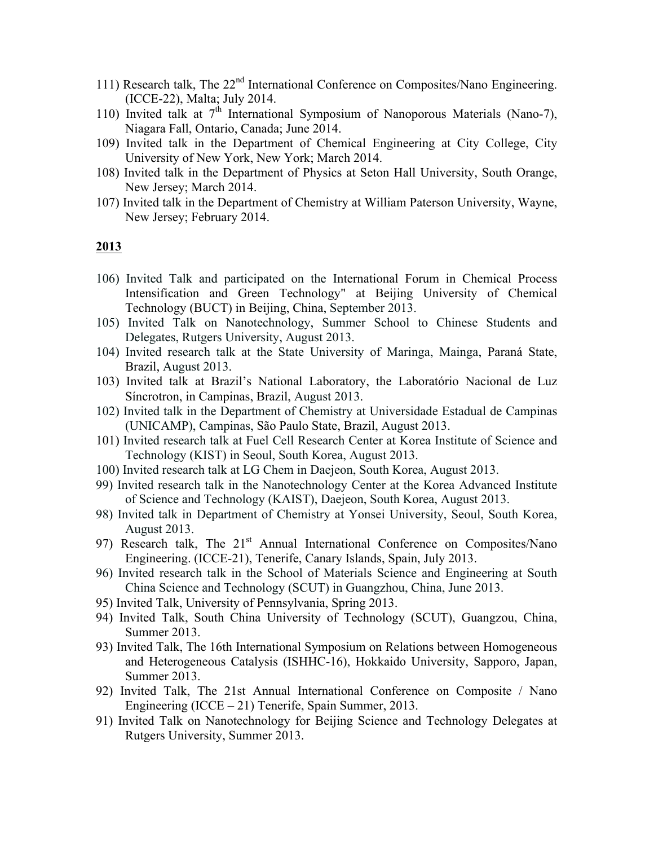- 111) Research talk, The 22<sup>nd</sup> International Conference on Composites/Nano Engineering. (ICCE-22), Malta; July 2014.
- 110) Invited talk at  $7<sup>th</sup>$  International Symposium of Nanoporous Materials (Nano-7), Niagara Fall, Ontario, Canada; June 2014.
- 109) Invited talk in the Department of Chemical Engineering at City College, City University of New York, New York; March 2014.
- 108) Invited talk in the Department of Physics at Seton Hall University, South Orange, New Jersey; March 2014.
- 107) Invited talk in the Department of Chemistry at William Paterson University, Wayne, New Jersey; February 2014.

- 106) Invited Talk and participated on the International Forum in Chemical Process Intensification and Green Technology" at Beijing University of Chemical Technology (BUCT) in Beijing, China, September 2013.
- 105) Invited Talk on Nanotechnology, Summer School to Chinese Students and Delegates, Rutgers University, August 2013.
- 104) Invited research talk at the State University of Maringa, Mainga, Paraná State, Brazil, August 2013.
- 103) Invited talk at Brazil's National Laboratory, the Laboratório Nacional de Luz Síncrotron, in Campinas, Brazil, August 2013.
- 102) Invited talk in the Department of Chemistry at Universidade Estadual de Campinas (UNICAMP), Campinas, São Paulo State, Brazil, August 2013.
- 101) Invited research talk at Fuel Cell Research Center at Korea Institute of Science and Technology (KIST) in Seoul, South Korea, August 2013.
- 100) Invited research talk at LG Chem in Daejeon, South Korea, August 2013.
- 99) Invited research talk in the Nanotechnology Center at the Korea Advanced Institute of Science and Technology (KAIST), Daejeon, South Korea, August 2013.
- 98) Invited talk in Department of Chemistry at Yonsei University, Seoul, South Korea, August 2013.
- 97) Research talk, The 21<sup>st</sup> Annual International Conference on Composites/Nano Engineering. (ICCE-21), Tenerife, Canary Islands, Spain, July 2013.
- 96) Invited research talk in the School of Materials Science and Engineering at South China Science and Technology (SCUT) in Guangzhou, China, June 2013.
- 95) Invited Talk, University of Pennsylvania, Spring 2013.
- 94) Invited Talk, South China University of Technology (SCUT), Guangzou, China, Summer 2013.
- 93) Invited Talk, The 16th International Symposium on Relations between Homogeneous and Heterogeneous Catalysis (ISHHC-16), Hokkaido University, Sapporo, Japan, Summer 2013.
- 92) Invited Talk, The 21st Annual International Conference on Composite / Nano Engineering  $(ICCE - 21)$  Tenerife, Spain Summer, 2013.
- 91) Invited Talk on Nanotechnology for Beijing Science and Technology Delegates at Rutgers University, Summer 2013.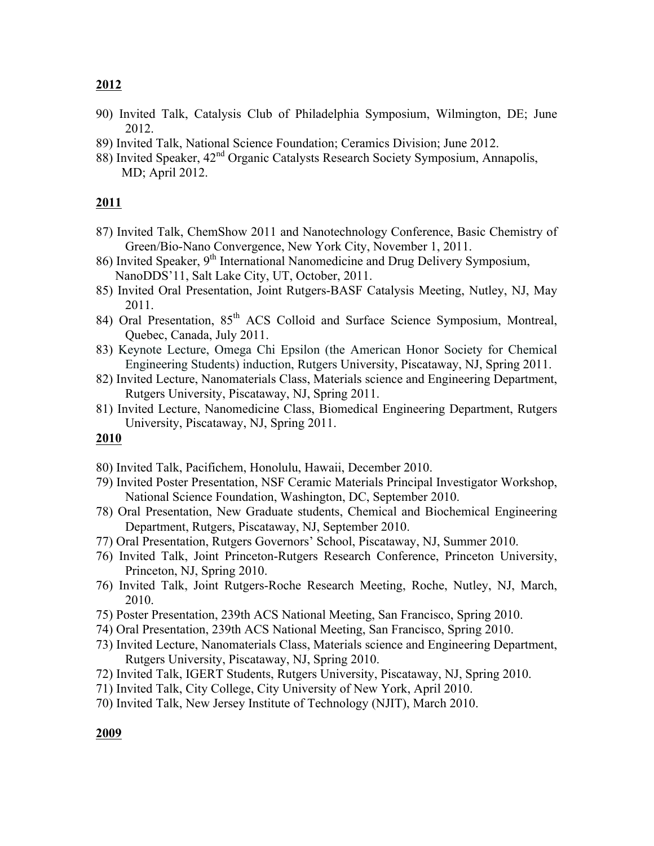- 90) Invited Talk, Catalysis Club of Philadelphia Symposium, Wilmington, DE; June 2012.
- 89) Invited Talk, National Science Foundation; Ceramics Division; June 2012.
- 88) Invited Speaker, 42<sup>nd</sup> Organic Catalysts Research Society Symposium, Annapolis, MD; April 2012.

## **2011**

- 87) Invited Talk, ChemShow 2011 and Nanotechnology Conference, Basic Chemistry of Green/Bio-Nano Convergence, New York City, November 1, 2011.
- 86) Invited Speaker,  $9<sup>th</sup>$  International Nanomedicine and Drug Delivery Symposium, NanoDDS'11, Salt Lake City, UT, October, 2011.
- 85) Invited Oral Presentation, Joint Rutgers-BASF Catalysis Meeting, Nutley, NJ, May 2011.
- 84) Oral Presentation, 85<sup>th</sup> ACS Colloid and Surface Science Symposium, Montreal, Quebec, Canada, July 2011.
- 83) Keynote Lecture, Omega Chi Epsilon (the American Honor Society for Chemical Engineering Students) induction, Rutgers University, Piscataway, NJ, Spring 2011.
- 82) Invited Lecture, Nanomaterials Class, Materials science and Engineering Department, Rutgers University, Piscataway, NJ, Spring 2011.
- 81) Invited Lecture, Nanomedicine Class, Biomedical Engineering Department, Rutgers University, Piscataway, NJ, Spring 2011.

- 80) Invited Talk, Pacifichem, Honolulu, Hawaii, December 2010.
- 79) Invited Poster Presentation, NSF Ceramic Materials Principal Investigator Workshop, National Science Foundation, Washington, DC, September 2010.
- 78) Oral Presentation, New Graduate students, Chemical and Biochemical Engineering Department, Rutgers, Piscataway, NJ, September 2010.
- 77) Oral Presentation, Rutgers Governors' School, Piscataway, NJ, Summer 2010.
- 76) Invited Talk, Joint Princeton-Rutgers Research Conference, Princeton University, Princeton, NJ, Spring 2010.
- 76) Invited Talk, Joint Rutgers-Roche Research Meeting, Roche, Nutley, NJ, March, 2010.
- 75) Poster Presentation, 239th ACS National Meeting, San Francisco, Spring 2010.
- 74) Oral Presentation, 239th ACS National Meeting, San Francisco, Spring 2010.
- 73) Invited Lecture, Nanomaterials Class, Materials science and Engineering Department, Rutgers University, Piscataway, NJ, Spring 2010.
- 72) Invited Talk, IGERT Students, Rutgers University, Piscataway, NJ, Spring 2010.
- 71) Invited Talk, City College, City University of New York, April 2010.
- 70) Invited Talk, New Jersey Institute of Technology (NJIT), March 2010.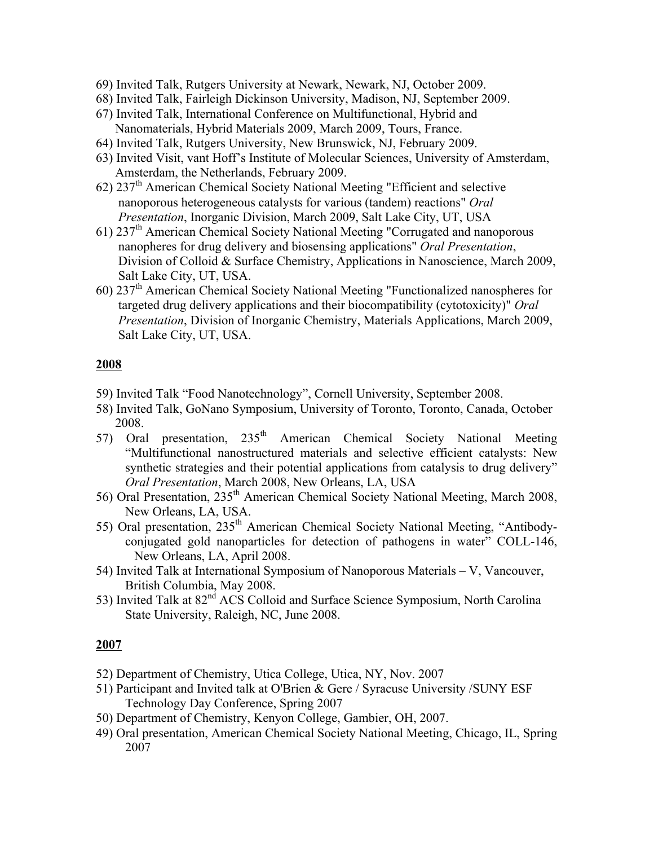- 69) Invited Talk, Rutgers University at Newark, Newark, NJ, October 2009.
- 68) Invited Talk, Fairleigh Dickinson University, Madison, NJ, September 2009.
- 67) Invited Talk, International Conference on Multifunctional, Hybrid and Nanomaterials, Hybrid Materials 2009, March 2009, Tours, France.
- 64) Invited Talk, Rutgers University, New Brunswick, NJ, February 2009.
- 63) Invited Visit, vant Hoff's Institute of Molecular Sciences, University of Amsterdam, Amsterdam, the Netherlands, February 2009.
- $62)$  237<sup>th</sup> American Chemical Society National Meeting "Efficient and selective nanoporous heterogeneous catalysts for various (tandem) reactions" *Oral Presentation*, Inorganic Division, March 2009, Salt Lake City, UT, USA
- 61) 237th American Chemical Society National Meeting "Corrugated and nanoporous nanopheres for drug delivery and biosensing applications" *Oral Presentation*, Division of Colloid & Surface Chemistry, Applications in Nanoscience, March 2009, Salt Lake City, UT, USA.
- 60) 237th American Chemical Society National Meeting "Functionalized nanospheres for targeted drug delivery applications and their biocompatibility (cytotoxicity)" *Oral Presentation*, Division of Inorganic Chemistry, Materials Applications, March 2009, Salt Lake City, UT, USA.

- 59) Invited Talk "Food Nanotechnology", Cornell University, September 2008.
- 58) Invited Talk, GoNano Symposium, University of Toronto, Toronto, Canada, October 2008.
- 57) Oral presentation, 235<sup>th</sup> American Chemical Society National Meeting "Multifunctional nanostructured materials and selective efficient catalysts: New synthetic strategies and their potential applications from catalysis to drug delivery" *Oral Presentation*, March 2008, New Orleans, LA, USA
- 56) Oral Presentation, 235<sup>th</sup> American Chemical Society National Meeting, March 2008, New Orleans, LA, USA.
- 55) Oral presentation, 235<sup>th</sup> American Chemical Society National Meeting, "Antibodyconjugated gold nanoparticles for detection of pathogens in water" COLL-146, New Orleans, LA, April 2008.
- 54) Invited Talk at International Symposium of Nanoporous Materials V, Vancouver, British Columbia, May 2008.
- 53) Invited Talk at 82<sup>nd</sup> ACS Colloid and Surface Science Symposium, North Carolina State University, Raleigh, NC, June 2008.

- 52) Department of Chemistry, Utica College, Utica, NY, Nov. 2007
- 51) Participant and Invited talk at O'Brien & Gere / Syracuse University /SUNY ESF Technology Day Conference, Spring 2007
- 50) Department of Chemistry, Kenyon College, Gambier, OH, 2007.
- 49) Oral presentation, American Chemical Society National Meeting, Chicago, IL, Spring 2007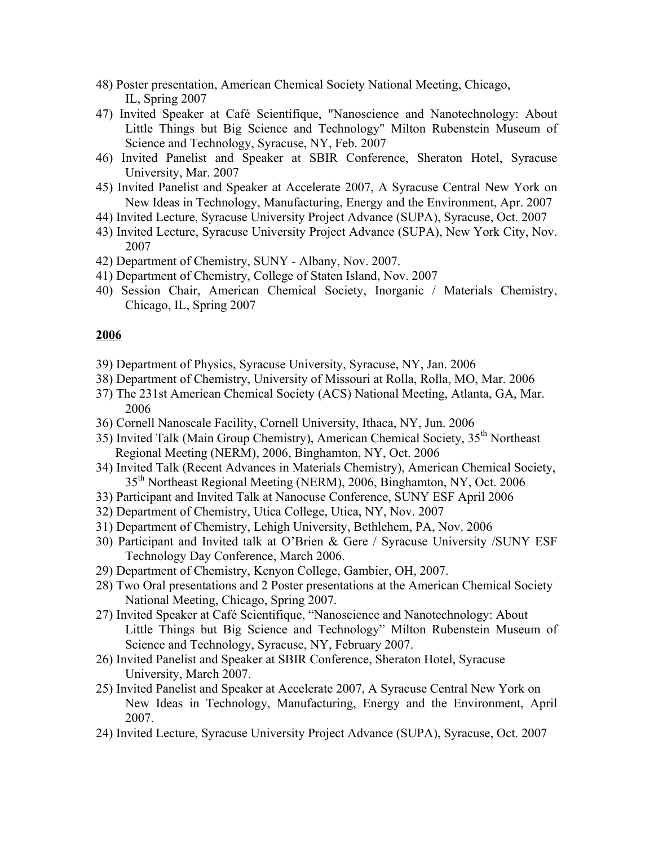- 48) Poster presentation, American Chemical Society National Meeting, Chicago, IL, Spring 2007
- 47) Invited Speaker at Café Scientifique, "Nanoscience and Nanotechnology: About Little Things but Big Science and Technology" Milton Rubenstein Museum of Science and Technology, Syracuse, NY, Feb. 2007
- 46) Invited Panelist and Speaker at SBIR Conference, Sheraton Hotel, Syracuse University, Mar. 2007
- 45) Invited Panelist and Speaker at Accelerate 2007, A Syracuse Central New York on New Ideas in Technology, Manufacturing, Energy and the Environment, Apr. 2007
- 44) Invited Lecture, Syracuse University Project Advance (SUPA), Syracuse, Oct. 2007
- 43) Invited Lecture, Syracuse University Project Advance (SUPA), New York City, Nov. 2007
- 42) Department of Chemistry, SUNY Albany, Nov. 2007.
- 41) Department of Chemistry, College of Staten Island, Nov. 2007
- 40) Session Chair, American Chemical Society, Inorganic / Materials Chemistry, Chicago, IL, Spring 2007

- 39) Department of Physics, Syracuse University, Syracuse, NY, Jan. 2006
- 38) Department of Chemistry, University of Missouri at Rolla, Rolla, MO, Mar. 2006
- 37) The 231st American Chemical Society (ACS) National Meeting, Atlanta, GA, Mar. 2006
- 36) Cornell Nanoscale Facility, Cornell University, Ithaca, NY, Jun. 2006
- 35) Invited Talk (Main Group Chemistry), American Chemical Society, 35<sup>th</sup> Northeast Regional Meeting (NERM), 2006, Binghamton, NY, Oct. 2006
- 34) Invited Talk (Recent Advances in Materials Chemistry), American Chemical Society, 35th Northeast Regional Meeting (NERM), 2006, Binghamton, NY, Oct. 2006
- 33) Participant and Invited Talk at Nanocuse Conference, SUNY ESF April 2006
- 32) Department of Chemistry, Utica College, Utica, NY, Nov. 2007
- 31) Department of Chemistry, Lehigh University, Bethlehem, PA, Nov. 2006
- 30) Participant and Invited talk at O'Brien & Gere / Syracuse University /SUNY ESF Technology Day Conference, March 2006.
- 29) Department of Chemistry, Kenyon College, Gambier, OH, 2007.
- 28) Two Oral presentations and 2 Poster presentations at the American Chemical Society National Meeting, Chicago, Spring 2007.
- 27) Invited Speaker at Café Scientifique, "Nanoscience and Nanotechnology: About Little Things but Big Science and Technology" Milton Rubenstein Museum of Science and Technology, Syracuse, NY, February 2007.
- 26) Invited Panelist and Speaker at SBIR Conference, Sheraton Hotel, Syracuse University, March 2007.
- 25) Invited Panelist and Speaker at Accelerate 2007, A Syracuse Central New York on New Ideas in Technology, Manufacturing, Energy and the Environment, April 2007.
- 24) Invited Lecture, Syracuse University Project Advance (SUPA), Syracuse, Oct. 2007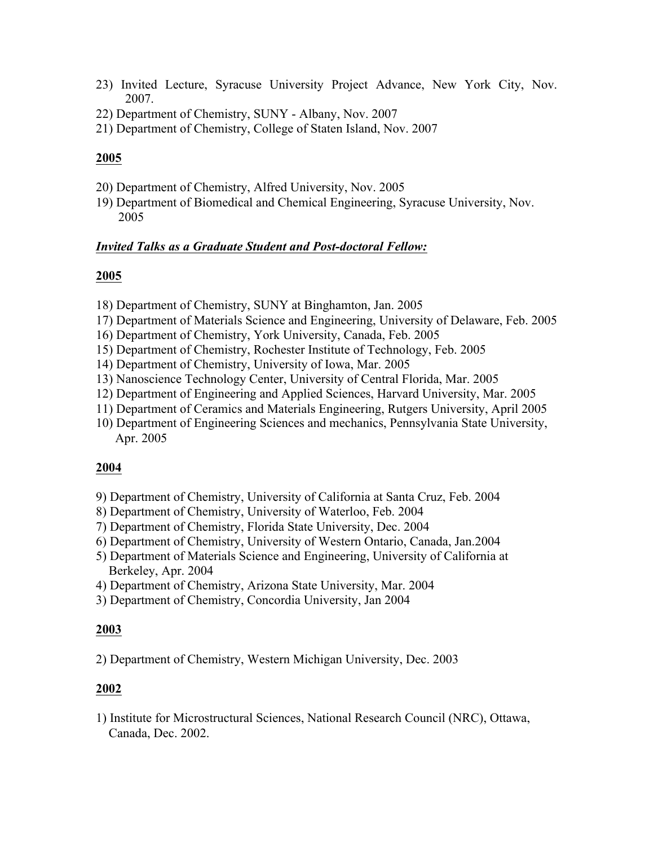- 23) Invited Lecture, Syracuse University Project Advance, New York City, Nov. 2007.
- 22) Department of Chemistry, SUNY Albany, Nov. 2007
- 21) Department of Chemistry, College of Staten Island, Nov. 2007

- 20) Department of Chemistry, Alfred University, Nov. 2005
- 19) Department of Biomedical and Chemical Engineering, Syracuse University, Nov. 2005

## *Invited Talks as a Graduate Student and Post-doctoral Fellow:*

## **2005**

- 18) Department of Chemistry, SUNY at Binghamton, Jan. 2005
- 17) Department of Materials Science and Engineering, University of Delaware, Feb. 2005
- 16) Department of Chemistry, York University, Canada, Feb. 2005
- 15) Department of Chemistry, Rochester Institute of Technology, Feb. 2005
- 14) Department of Chemistry, University of Iowa, Mar. 2005
- 13) Nanoscience Technology Center, University of Central Florida, Mar. 2005
- 12) Department of Engineering and Applied Sciences, Harvard University, Mar. 2005
- 11) Department of Ceramics and Materials Engineering, Rutgers University, April 2005
- 10) Department of Engineering Sciences and mechanics, Pennsylvania State University, Apr. 2005

## **2004**

- 9) Department of Chemistry, University of California at Santa Cruz, Feb. 2004
- 8) Department of Chemistry, University of Waterloo, Feb. 2004
- 7) Department of Chemistry, Florida State University, Dec. 2004
- 6) Department of Chemistry, University of Western Ontario, Canada, Jan.2004
- 5) Department of Materials Science and Engineering, University of California at Berkeley, Apr. 2004
- 4) Department of Chemistry, Arizona State University, Mar. 2004
- 3) Department of Chemistry, Concordia University, Jan 2004

## **2003**

2) Department of Chemistry, Western Michigan University, Dec. 2003

## **2002**

1) Institute for Microstructural Sciences, National Research Council (NRC), Ottawa, Canada, Dec. 2002.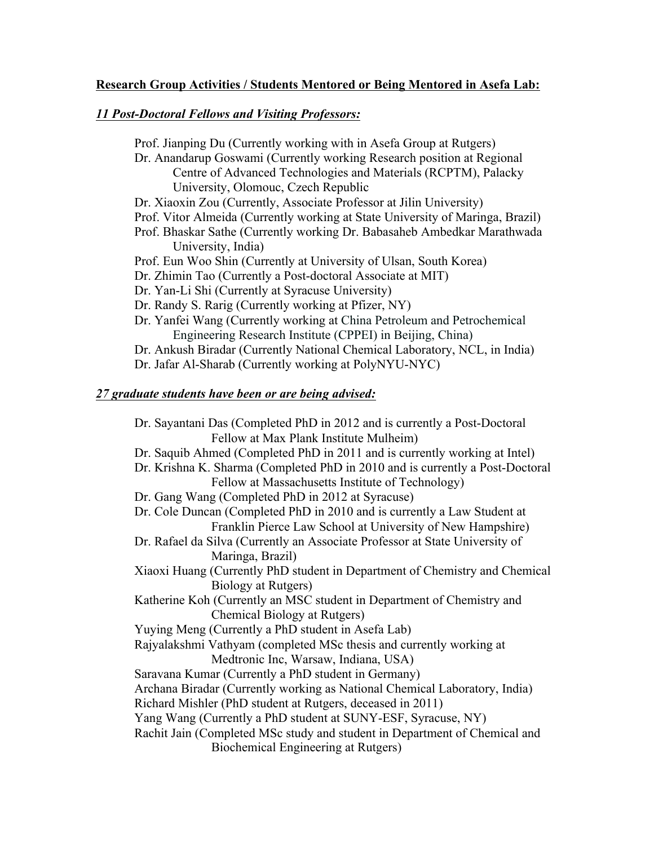## **Research Group Activities / Students Mentored or Being Mentored in Asefa Lab:**

## *11 Post-Doctoral Fellows and Visiting Professors:*

Prof. Jianping Du (Currently working with in Asefa Group at Rutgers) Dr. Anandarup Goswami (Currently working Research position at Regional Centre of Advanced Technologies and Materials (RCPTM), Palacky University, Olomouc, Czech Republic Dr. Xiaoxin Zou (Currently, Associate Professor at Jilin University) Prof. Vitor Almeida (Currently working at State University of Maringa, Brazil) Prof. Bhaskar Sathe (Currently working Dr. Babasaheb Ambedkar Marathwada University, India) Prof. Eun Woo Shin (Currently at University of Ulsan, South Korea) Dr. Zhimin Tao (Currently a Post-doctoral Associate at MIT) Dr. Yan-Li Shi (Currently at Syracuse University) Dr. Randy S. Rarig (Currently working at Pfizer, NY) Dr. Yanfei Wang (Currently working at China Petroleum and Petrochemical Engineering Research Institute (CPPEI) in Beijing, China) Dr. Ankush Biradar (Currently National Chemical Laboratory, NCL, in India) Dr. Jafar Al-Sharab (Currently working at PolyNYU-NYC)

## *27 graduate students have been or are being advised:*

Dr. Sayantani Das (Completed PhD in 2012 and is currently a Post-Doctoral Fellow at Max Plank Institute Mulheim) Dr. Saquib Ahmed (Completed PhD in 2011 and is currently working at Intel) Dr. Krishna K. Sharma (Completed PhD in 2010 and is currently a Post-Doctoral Fellow at Massachusetts Institute of Technology) Dr. Gang Wang (Completed PhD in 2012 at Syracuse) Dr. Cole Duncan (Completed PhD in 2010 and is currently a Law Student at Franklin Pierce Law School at University of New Hampshire) Dr. Rafael da Silva (Currently an Associate Professor at State University of Maringa, Brazil) Xiaoxi Huang (Currently PhD student in Department of Chemistry and Chemical Biology at Rutgers) Katherine Koh (Currently an MSC student in Department of Chemistry and Chemical Biology at Rutgers) Yuying Meng (Currently a PhD student in Asefa Lab) Rajyalakshmi Vathyam (completed MSc thesis and currently working at Medtronic Inc, Warsaw, Indiana, USA) Saravana Kumar (Currently a PhD student in Germany) Archana Biradar (Currently working as National Chemical Laboratory, India) Richard Mishler (PhD student at Rutgers, deceased in 2011) Yang Wang (Currently a PhD student at SUNY-ESF, Syracuse, NY) Rachit Jain (Completed MSc study and student in Department of Chemical and Biochemical Engineering at Rutgers)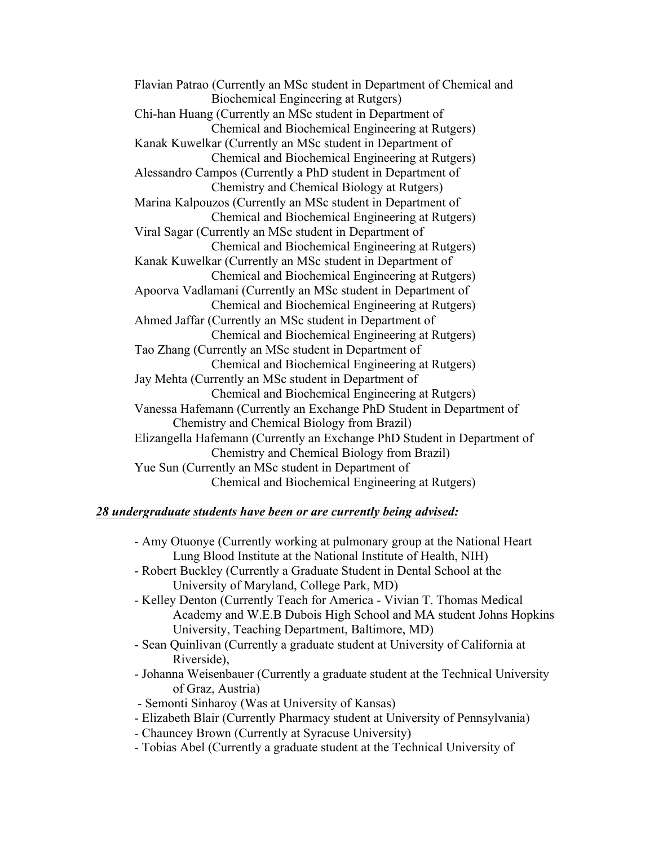Flavian Patrao (Currently an MSc student in Department of Chemical and Biochemical Engineering at Rutgers) Chi-han Huang (Currently an MSc student in Department of Chemical and Biochemical Engineering at Rutgers) Kanak Kuwelkar (Currently an MSc student in Department of Chemical and Biochemical Engineering at Rutgers) Alessandro Campos (Currently a PhD student in Department of Chemistry and Chemical Biology at Rutgers) Marina Kalpouzos (Currently an MSc student in Department of Chemical and Biochemical Engineering at Rutgers) Viral Sagar (Currently an MSc student in Department of Chemical and Biochemical Engineering at Rutgers) Kanak Kuwelkar (Currently an MSc student in Department of Chemical and Biochemical Engineering at Rutgers) Apoorva Vadlamani (Currently an MSc student in Department of Chemical and Biochemical Engineering at Rutgers) Ahmed Jaffar (Currently an MSc student in Department of Chemical and Biochemical Engineering at Rutgers) Tao Zhang (Currently an MSc student in Department of Chemical and Biochemical Engineering at Rutgers) Jay Mehta (Currently an MSc student in Department of Chemical and Biochemical Engineering at Rutgers) Vanessa Hafemann (Currently an Exchange PhD Student in Department of Chemistry and Chemical Biology from Brazil) Elizangella Hafemann (Currently an Exchange PhD Student in Department of Chemistry and Chemical Biology from Brazil) Yue Sun (Currently an MSc student in Department of Chemical and Biochemical Engineering at Rutgers)

## *28 undergraduate students have been or are currently being advised:*

- Amy Otuonye (Currently working at pulmonary group at the National Heart Lung Blood Institute at the National Institute of Health, NIH)
- Robert Buckley (Currently a Graduate Student in Dental School at the University of Maryland, College Park, MD)
- Kelley Denton (Currently Teach for America Vivian T. Thomas Medical Academy and W.E.B Dubois High School and MA student Johns Hopkins University, Teaching Department, Baltimore, MD)
- Sean Quinlivan (Currently a graduate student at University of California at Riverside),
- Johanna Weisenbauer (Currently a graduate student at the Technical University of Graz, Austria)
- Semonti Sinharoy (Was at University of Kansas)
- Elizabeth Blair (Currently Pharmacy student at University of Pennsylvania)
- Chauncey Brown (Currently at Syracuse University)
- Tobias Abel (Currently a graduate student at the Technical University of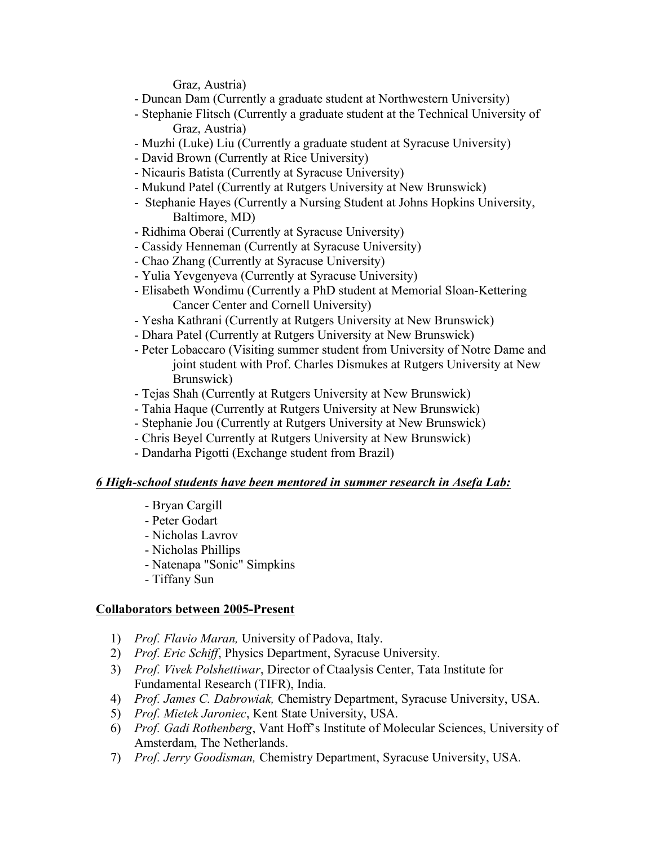Graz, Austria)

- Duncan Dam (Currently a graduate student at Northwestern University)
- Stephanie Flitsch (Currently a graduate student at the Technical University of Graz, Austria)
- Muzhi (Luke) Liu (Currently a graduate student at Syracuse University)
- David Brown (Currently at Rice University)
- Nicauris Batista (Currently at Syracuse University)
- Mukund Patel (Currently at Rutgers University at New Brunswick)
- Stephanie Hayes (Currently a Nursing Student at Johns Hopkins University, Baltimore, MD)
- Ridhima Oberai (Currently at Syracuse University)
- Cassidy Henneman (Currently at Syracuse University)
- Chao Zhang (Currently at Syracuse University)
- Yulia Yevgenyeva (Currently at Syracuse University)
- Elisabeth Wondimu (Currently a PhD student at Memorial Sloan-Kettering Cancer Center and Cornell University)
- Yesha Kathrani (Currently at Rutgers University at New Brunswick)
- Dhara Patel (Currently at Rutgers University at New Brunswick)
- Peter Lobaccaro (Visiting summer student from University of Notre Dame and joint student with Prof. Charles Dismukes at Rutgers University at New Brunswick)
- Tejas Shah (Currently at Rutgers University at New Brunswick)
- Tahia Haque (Currently at Rutgers University at New Brunswick)
- Stephanie Jou (Currently at Rutgers University at New Brunswick)
- Chris Beyel Currently at Rutgers University at New Brunswick)
- Dandarha Pigotti (Exchange student from Brazil)

## *6 High-school students have been mentored in summer research in Asefa Lab:*

- Bryan Cargill
- Peter Godart
- Nicholas Lavrov
- Nicholas Phillips
- Natenapa "Sonic" Simpkins
- Tiffany Sun

## **Collaborators between 2005-Present**

- 1) *Prof. Flavio Maran,* University of Padova, Italy.
- 2) *Prof. Eric Schiff*, Physics Department, Syracuse University.
- 3) *Prof. Vivek Polshettiwar*, Director of Ctaalysis Center, Tata Institute for Fundamental Research (TIFR), India.
- 4) *Prof. James C. Dabrowiak,* Chemistry Department, Syracuse University, USA.
- 5) *Prof. Mietek Jaroniec*, Kent State University, USA.
- 6) *Prof. Gadi Rothenberg*, Vant Hoff's Institute of Molecular Sciences, University of Amsterdam, The Netherlands.
- 7) *Prof. Jerry Goodisman,* Chemistry Department, Syracuse University, USA*.*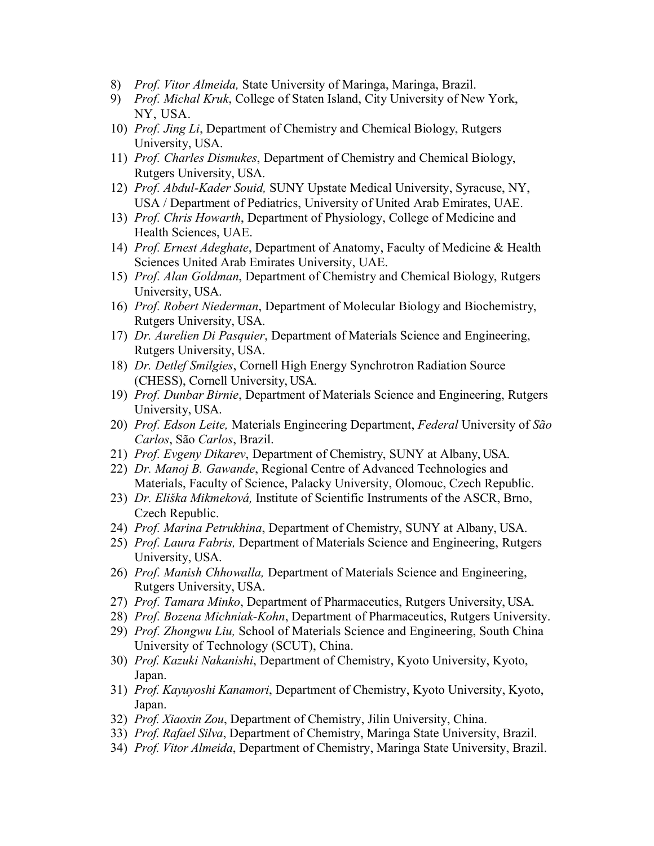- 8) *Prof. Vitor Almeida,* State University of Maringa, Maringa, Brazil.
- 9) *Prof. Michal Kruk*, College of Staten Island, City University of New York, NY, USA.
- 10) *Prof. Jing Li*, Department of Chemistry and Chemical Biology, Rutgers University, USA.
- 11) *Prof. Charles Dismukes*, Department of Chemistry and Chemical Biology, Rutgers University, USA.
- 12) *Prof. Abdul-Kader Souid,* SUNY Upstate Medical University, Syracuse, NY, USA / Department of Pediatrics, University of United Arab Emirates, UAE.
- 13) *Prof. Chris Howarth*, Department of Physiology, College of Medicine and Health Sciences, UAE.
- 14) *Prof. Ernest Adeghate*, Department of Anatomy, Faculty of Medicine & Health Sciences United Arab Emirates University, UAE.
- 15) *Prof. Alan Goldman*, Department of Chemistry and Chemical Biology, Rutgers University, USA.
- 16) *Prof. Robert Niederman*, Department of Molecular Biology and Biochemistry, Rutgers University, USA.
- 17) *Dr. Aurelien Di Pasquier*, Department of Materials Science and Engineering, Rutgers University, USA.
- 18) *Dr. Detlef Smilgies*, Cornell High Energy Synchrotron Radiation Source (CHESS), Cornell University, USA.
- 19) *Prof. Dunbar Birnie*, Department of Materials Science and Engineering, Rutgers University, USA.
- 20) *Prof. Edson Leite,* Materials Engineering Department, *Federal* University of *São Carlos*, São *Carlos*, Brazil.
- 21) *Prof. Evgeny Dikarev*, Department of Chemistry, SUNY at Albany, USA.
- 22) *Dr. Manoj B. Gawande*, Regional Centre of Advanced Technologies and Materials, Faculty of Science, Palacky University, Olomouc, Czech Republic.
- 23) *Dr. Eliška Mikmeková,* Institute of Scientific Instruments of the ASCR, Brno, Czech Republic.
- 24) *Prof. Marina Petrukhina*, Department of Chemistry, SUNY at Albany, USA.
- 25) *Prof. Laura Fabris,* Department of Materials Science and Engineering, Rutgers University, USA.
- 26) *Prof. Manish Chhowalla,* Department of Materials Science and Engineering, Rutgers University, USA.
- 27) *Prof. Tamara Minko*, Department of Pharmaceutics, Rutgers University, USA.
- 28) *Prof. Bozena Michniak-Kohn*, Department of Pharmaceutics, Rutgers University.
- 29) *Prof. Zhongwu Liu,* School of Materials Science and Engineering, South China University of Technology (SCUT), China.
- 30) *Prof. Kazuki Nakanishi*, Department of Chemistry, Kyoto University, Kyoto, Japan.
- 31) *Prof. Kayuyoshi Kanamori*, Department of Chemistry, Kyoto University, Kyoto, Japan.
- 32) *Prof. Xiaoxin Zou*, Department of Chemistry, Jilin University, China.
- 33) *Prof. Rafael Silva*, Department of Chemistry, Maringa State University, Brazil.
- 34) *Prof. Vitor Almeida*, Department of Chemistry, Maringa State University, Brazil.